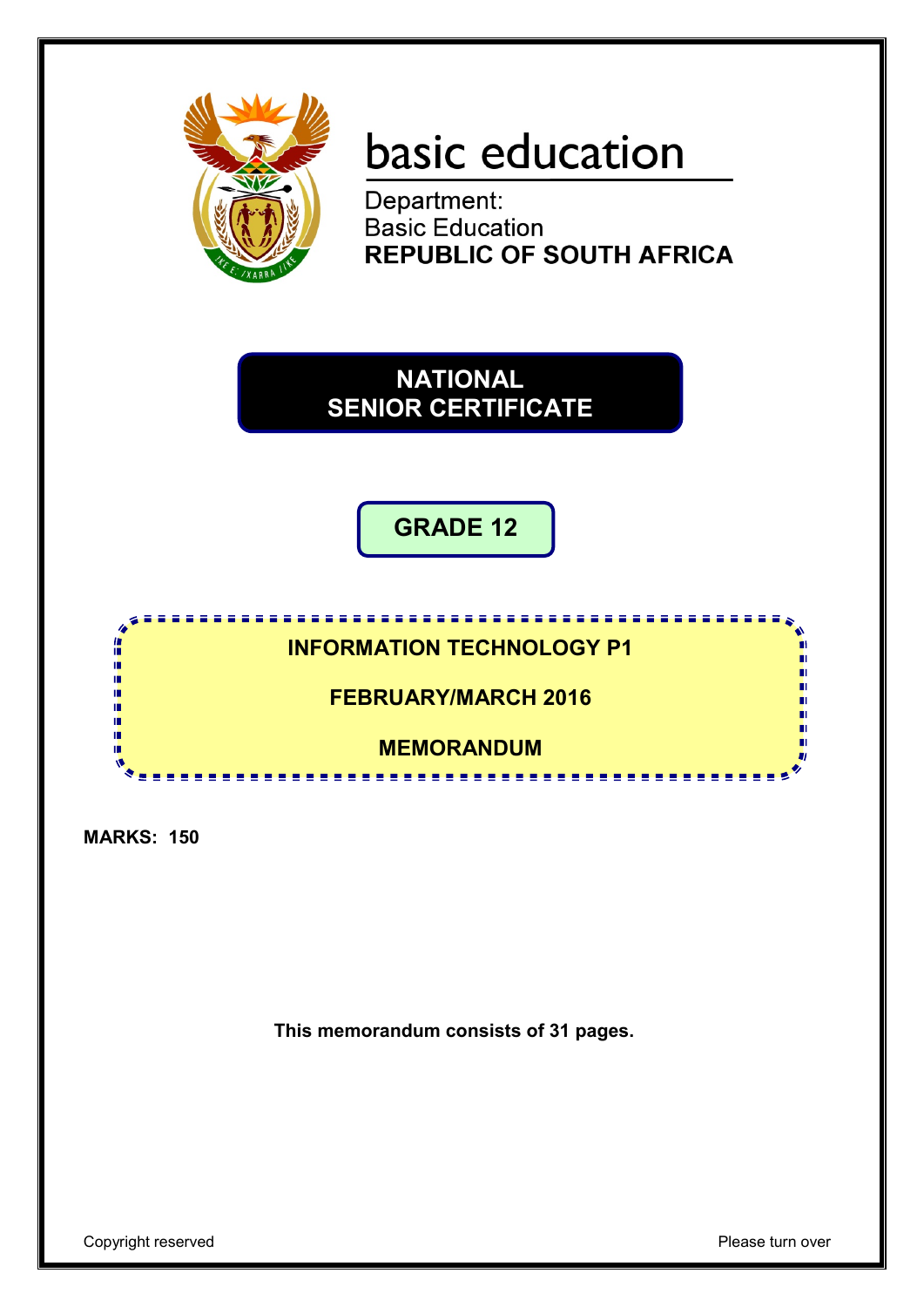

# basic education

Department: **Basic Education REPUBLIC OF SOUTH AFRICA** 

**NATIONAL SENIOR CERTIFICATE**

**GRADE 12**

**INFORMATION TECHNOLOGY P1**

**FEBRUARY/MARCH 2016**

**MEMORANDUM** <u>................</u>

**MARKS: 150**

IÙ,

10

10 ú, m ш

**This memorandum consists of 31 pages.**

Copyright reserved **Please** turn over

п

п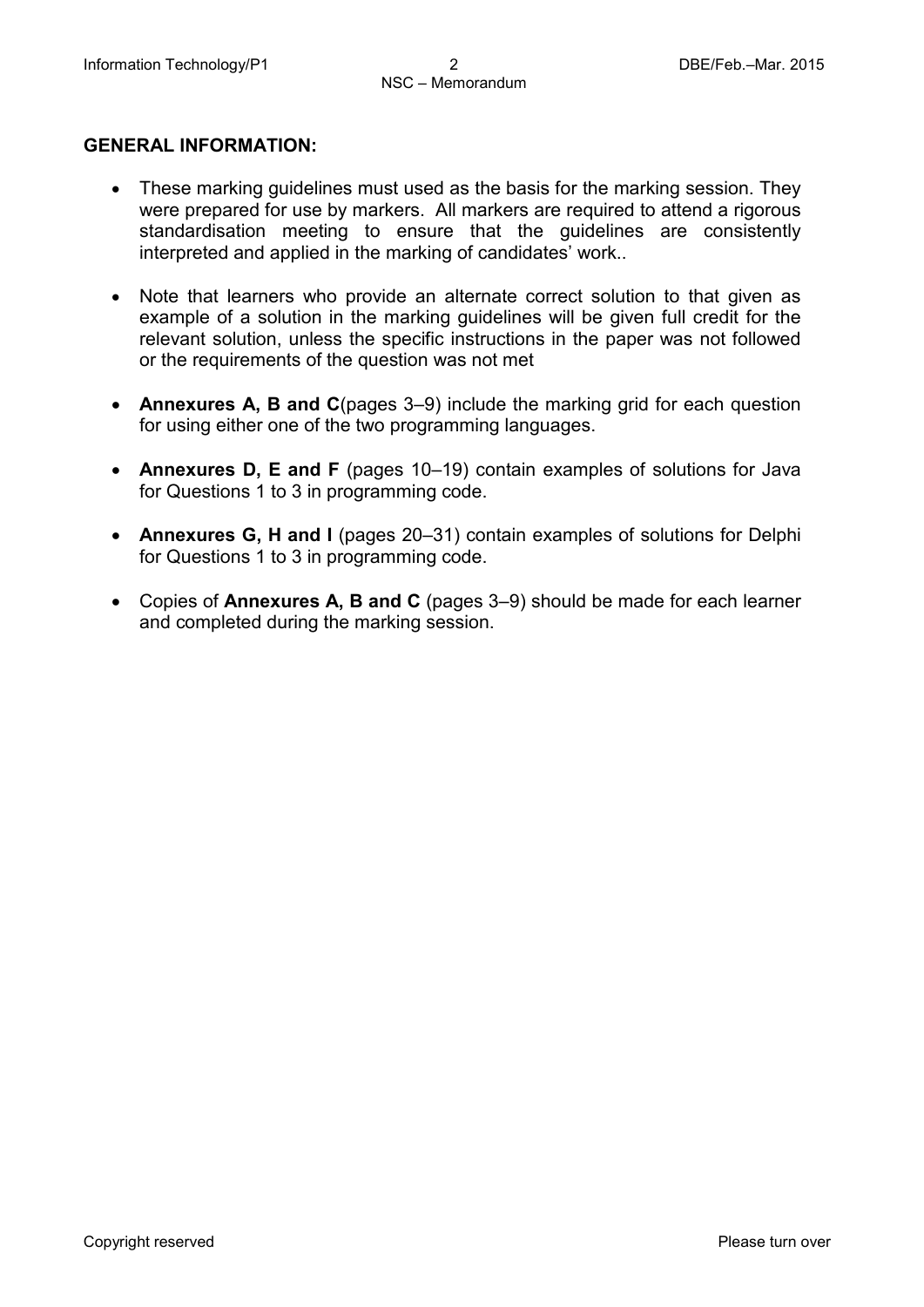### **GENERAL INFORMATION:**

- These marking guidelines must used as the basis for the marking session. They were prepared for use by markers. All markers are required to attend a rigorous standardisation meeting to ensure that the guidelines are consistently interpreted and applied in the marking of candidates' work..
- Note that learners who provide an alternate correct solution to that given as example of a solution in the marking guidelines will be given full credit for the relevant solution, unless the specific instructions in the paper was not followed or the requirements of the question was not met
- **Annexures A, B and C**(pages 3–9) include the marking grid for each question for using either one of the two programming languages.
- **Annexures D, E and F** (pages 10–19) contain examples of solutions for Java for Questions 1 to 3 in programming code.
- **Annexures G, H and I** (pages 20–31) contain examples of solutions for Delphi for Questions 1 to 3 in programming code.
- Copies of **Annexures A, B and C** (pages 3–9) should be made for each learner and completed during the marking session.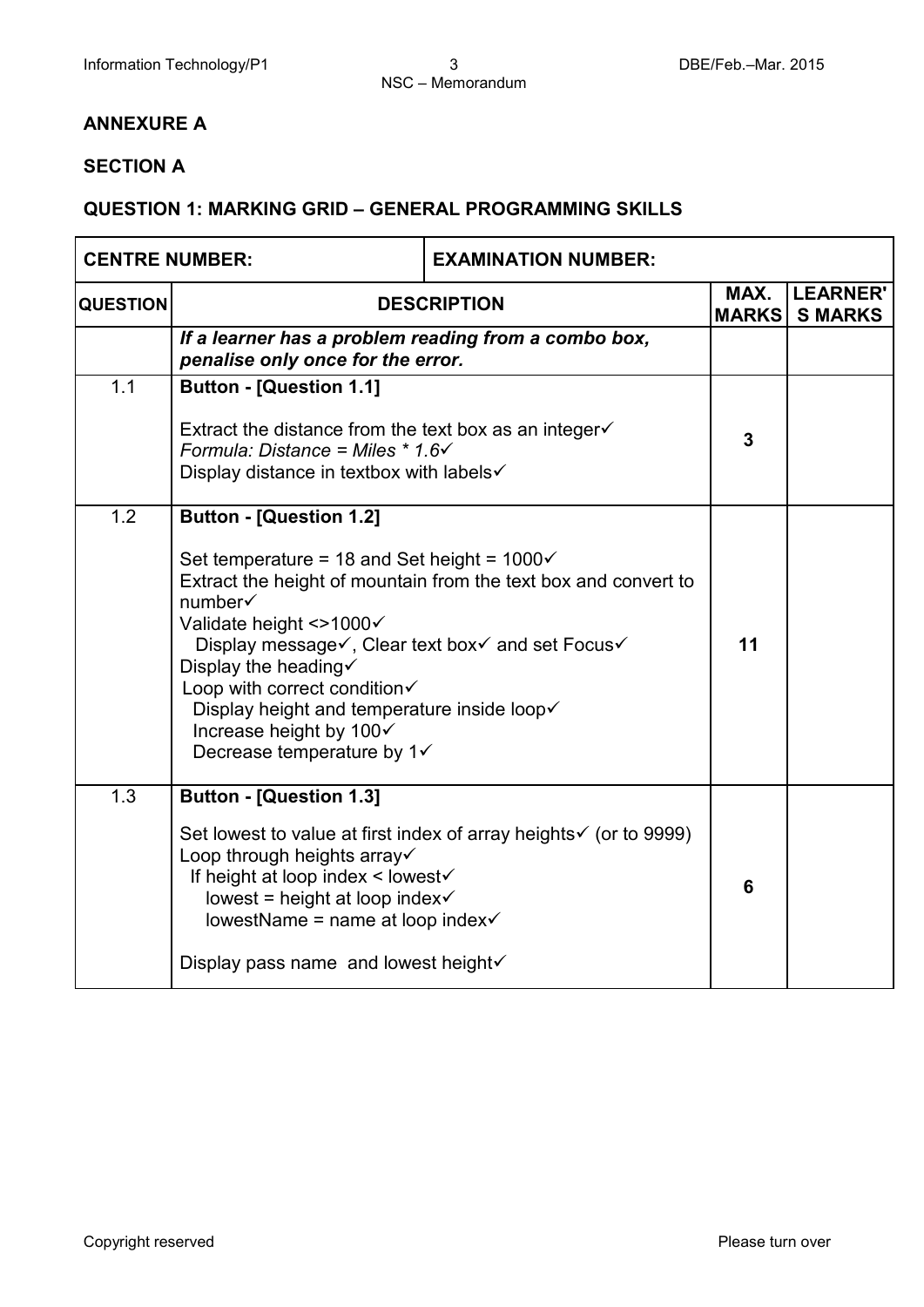### **ANNEXURE A**

### **SECTION A**

### **QUESTION 1: MARKING GRID – GENERAL PROGRAMMING SKILLS**

| <b>CENTRE NUMBER:</b> |                                                                                                                                                                                                                                                                                                                                                                                                                                             | <b>EXAMINATION NUMBER:</b>                                       |                      |                                   |
|-----------------------|---------------------------------------------------------------------------------------------------------------------------------------------------------------------------------------------------------------------------------------------------------------------------------------------------------------------------------------------------------------------------------------------------------------------------------------------|------------------------------------------------------------------|----------------------|-----------------------------------|
| <b>QUESTION</b>       | <b>DESCRIPTION</b>                                                                                                                                                                                                                                                                                                                                                                                                                          |                                                                  | MAX.<br><b>MARKS</b> | <b>LEARNER'</b><br><b>S MARKS</b> |
|                       | If a learner has a problem reading from a combo box,<br>penalise only once for the error.                                                                                                                                                                                                                                                                                                                                                   |                                                                  |                      |                                   |
| 1.1                   | <b>Button - [Question 1.1]</b><br>Extract the distance from the text box as an integer $\checkmark$<br>Formula: Distance = Miles $* 1.6 \checkmark$<br>Display distance in textbox with labels $\checkmark$                                                                                                                                                                                                                                 |                                                                  | $\overline{3}$       |                                   |
| 1.2                   | <b>Button - [Question 1.2]</b><br>Set temperature = 18 and Set height = $1000\checkmark$<br>Extract the height of mountain from the text box and convert to<br>number√<br>Validate height <>1000√<br>Display message√, Clear text box√ and set Focus√<br>Display the heading $\checkmark$<br>Loop with correct condition<br>Display height and temperature inside loop√<br>Increase height by 100√<br>Decrease temperature by $1\checkmark$ |                                                                  | 11                   |                                   |
| 1.3                   | <b>Button - [Question 1.3]</b><br>Loop through heights array√<br>If height at loop index < lowest√<br>lowest = height at loop index $\checkmark$<br>lowestName = name at loop index $\checkmark$<br>Display pass name and lowest height√                                                                                                                                                                                                    | Set lowest to value at first index of array heights ior to 9999) | 6                    |                                   |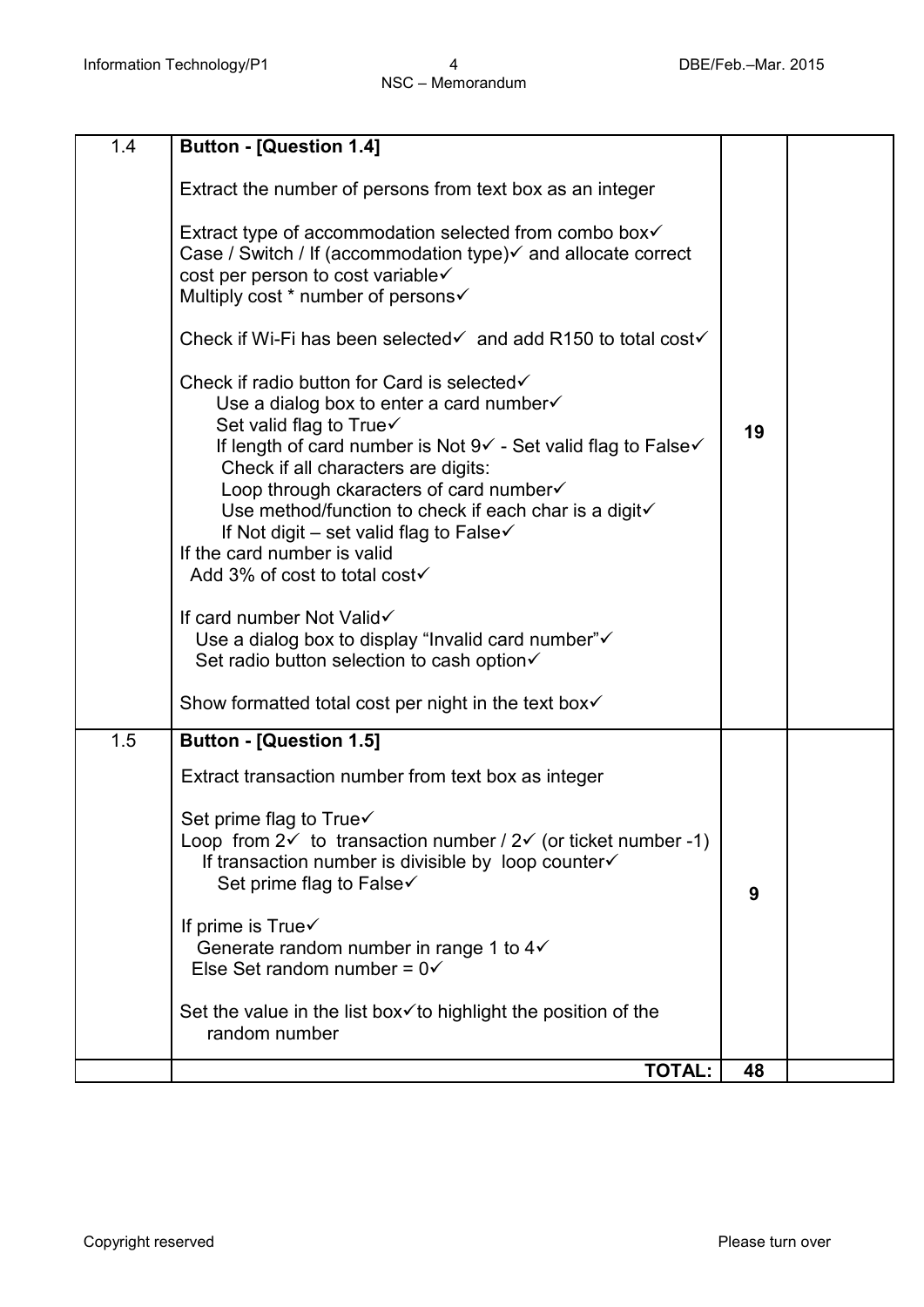| 1.4 | <b>Button - [Question 1.4]</b>                                                                                                                                                                                                                                                                                                                                                                                                                                    |    |  |
|-----|-------------------------------------------------------------------------------------------------------------------------------------------------------------------------------------------------------------------------------------------------------------------------------------------------------------------------------------------------------------------------------------------------------------------------------------------------------------------|----|--|
|     | Extract the number of persons from text box as an integer                                                                                                                                                                                                                                                                                                                                                                                                         |    |  |
|     | Extract type of accommodation selected from combo box√<br>Case / Switch / If (accommodation type) $\checkmark$ and allocate correct<br>cost per person to cost variable√<br>Multiply cost * number of persons√                                                                                                                                                                                                                                                    |    |  |
|     | Check if Wi-Fi has been selected and add R150 to total cost                                                                                                                                                                                                                                                                                                                                                                                                       |    |  |
|     | Check if radio button for Card is selected√<br>Use a dialog box to enter a card number $\checkmark$<br>Set valid flag to True√<br>If length of card number is Not 9√ - Set valid flag to False√<br>Check if all characters are digits:<br>Loop through ckaracters of card number√<br>Use method/function to check if each char is a digit√<br>If Not digit – set valid flag to False $\checkmark$<br>If the card number is valid<br>Add 3% of cost to total cost√ | 19 |  |
|     | If card number Not Valid√<br>Use a dialog box to display "Invalid card number"√<br>Set radio button selection to cash option√                                                                                                                                                                                                                                                                                                                                     |    |  |
|     | Show formatted total cost per night in the text box $\checkmark$                                                                                                                                                                                                                                                                                                                                                                                                  |    |  |
| 1.5 | <b>Button - [Question 1.5]</b>                                                                                                                                                                                                                                                                                                                                                                                                                                    |    |  |
|     | Extract transaction number from text box as integer                                                                                                                                                                                                                                                                                                                                                                                                               |    |  |
|     | Set prime flag to $True \checkmark$<br>Loop from $2\check{ }$ to transaction number / $2\check{ }$ (or ticket number -1)<br>If transaction number is divisible by loop counter√<br>Set prime flag to False√                                                                                                                                                                                                                                                       | 9  |  |
|     | If prime is True√<br>Generate random number in range 1 to $4\checkmark$<br>Else Set random number = $0\checkmark$                                                                                                                                                                                                                                                                                                                                                 |    |  |
|     | Set the value in the list box $\checkmark$ to highlight the position of the<br>random number                                                                                                                                                                                                                                                                                                                                                                      |    |  |
|     | <b>TOTAL:</b>                                                                                                                                                                                                                                                                                                                                                                                                                                                     | 48 |  |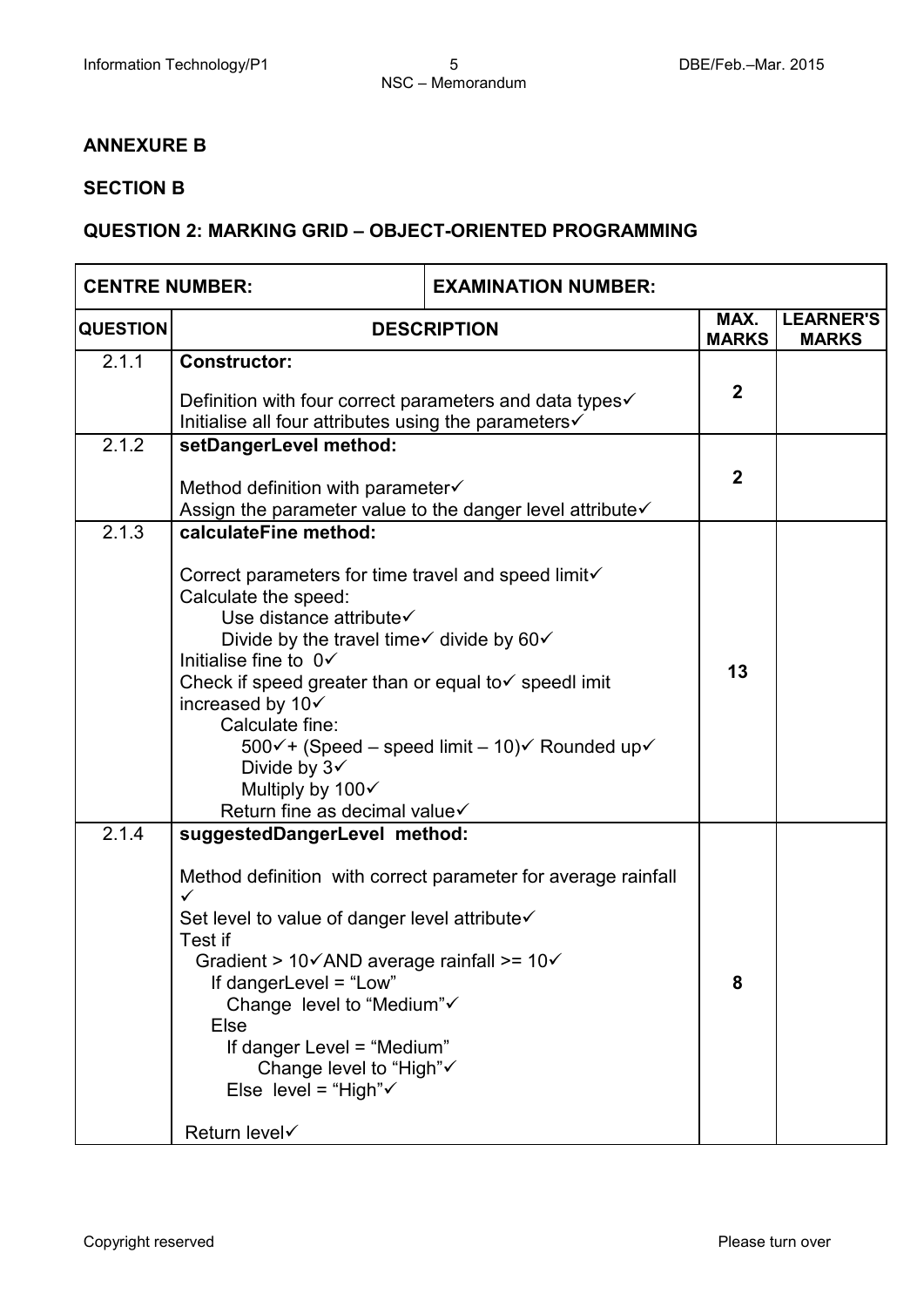### **ANNEXURE B**

### **SECTION B**

### **QUESTION 2: MARKING GRID – OBJECT-ORIENTED PROGRAMMING**

| <b>CENTRE NUMBER:</b> |                                                                                                                                                                                                                                                                                                                                                                                                                                                                          | <b>EXAMINATION NUMBER:</b>                                    |                      |                                  |
|-----------------------|--------------------------------------------------------------------------------------------------------------------------------------------------------------------------------------------------------------------------------------------------------------------------------------------------------------------------------------------------------------------------------------------------------------------------------------------------------------------------|---------------------------------------------------------------|----------------------|----------------------------------|
| <b>QUESTION</b>       | <b>DESCRIPTION</b>                                                                                                                                                                                                                                                                                                                                                                                                                                                       |                                                               | MAX.<br><b>MARKS</b> | <b>LEARNER'S</b><br><b>MARKS</b> |
| 2.1.1                 | <b>Constructor:</b><br>Definition with four correct parameters and data types√<br>Initialise all four attributes using the parameters                                                                                                                                                                                                                                                                                                                                    |                                                               | $\overline{2}$       |                                  |
| 2.1.2                 | setDangerLevel method:<br>Method definition with parameter√<br>Assign the parameter value to the danger level attribute√                                                                                                                                                                                                                                                                                                                                                 |                                                               | $\overline{2}$       |                                  |
| 2.1.3                 | calculateFine method:<br>Correct parameters for time travel and speed limit√<br>Calculate the speed:<br>Use distance attribute√<br>Divide by the travel time $\checkmark$ divide by 60 $\checkmark$<br>Initialise fine to $0\checkmark$<br>Check if speed greater than or equal to v speedl imit<br>increased by 10√<br>Calculate fine:<br>500√+ (Speed – speed limit – 10)√ Rounded up√<br>Divide by $3\checkmark$<br>Multiply by 100√<br>Return fine as decimal value√ |                                                               | 13                   |                                  |
| 2.1.4                 | suggestedDangerLevel method:<br>✓<br>Set level to value of danger level attribute√<br>Test if<br>Gradient > $10\sqrt{AND}$ average rainfall >= $10\sqrt{}$<br>If dangerLevel = "Low"<br>Change level to "Medium"√<br>Else<br>If danger Level = "Medium"<br>Change level to "High"√<br>Else level = "High" $\checkmark$<br><b>Return level√</b>                                                                                                                           | Method definition with correct parameter for average rainfall | 8                    |                                  |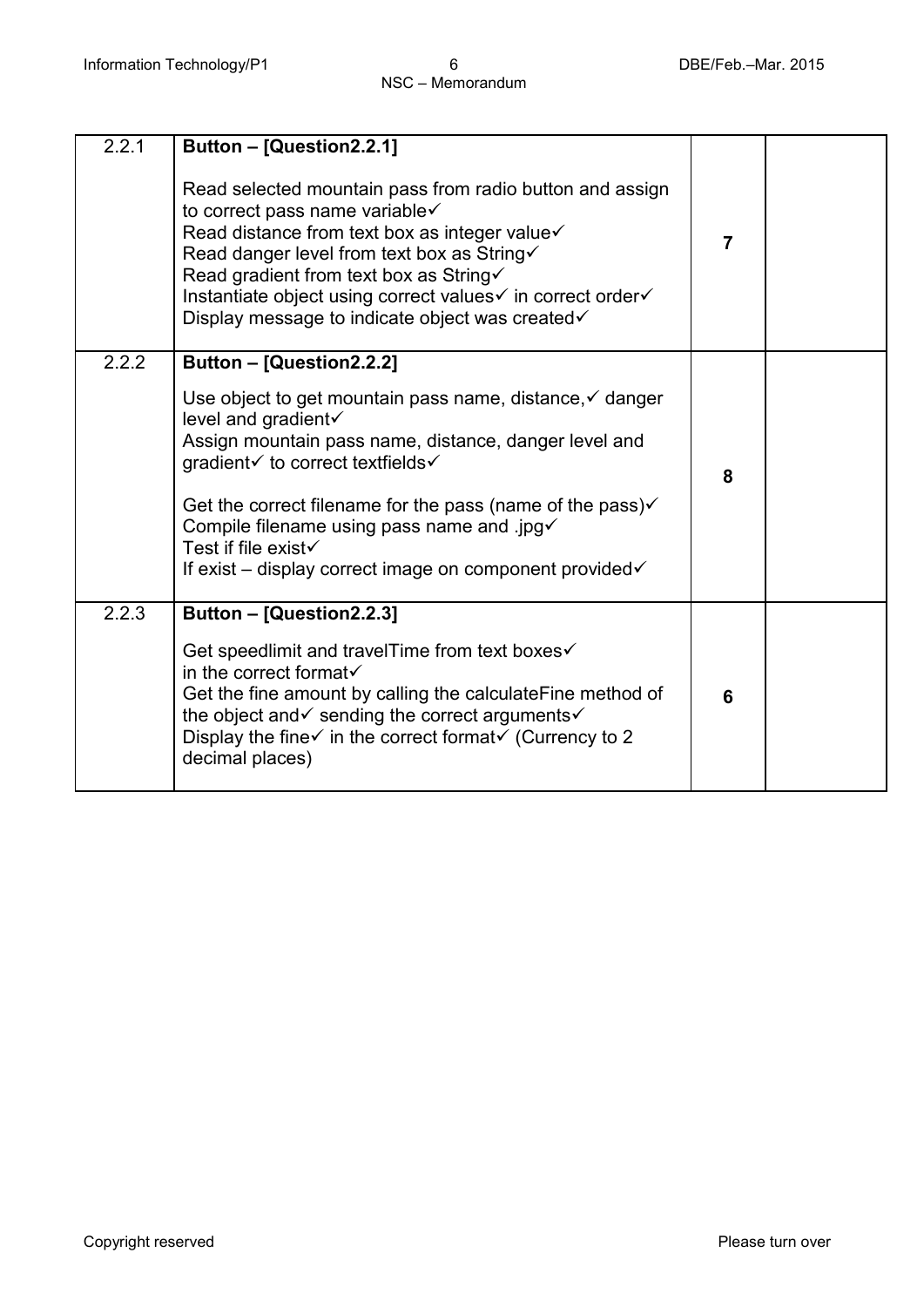| 2.2.1 | Button - [Question2.2.1]<br>Read selected mountain pass from radio button and assign<br>to correct pass name variable√<br>Read distance from text box as integer value√<br>Read danger level from text box as String√<br>Read gradient from text box as String√<br>Instantiate object using correct values√ in correct order√<br>Display message to indicate object was created√                                  | $\overline{7}$ |  |
|-------|-------------------------------------------------------------------------------------------------------------------------------------------------------------------------------------------------------------------------------------------------------------------------------------------------------------------------------------------------------------------------------------------------------------------|----------------|--|
| 2.2.2 | Button - [Question2.2.2]<br>Use object to get mountain pass name, distance, v danger<br>level and gradient√<br>Assign mountain pass name, distance, danger level and<br>gradient√ to correct textfields√<br>Get the correct filename for the pass (name of the pass) $\checkmark$<br>Compile filename using pass name and .jpg√<br>Test if file exist√<br>If exist – display correct image on component provided√ | 8              |  |
| 2.2.3 | Button - [Question2.2.3]<br>Get speedlimit and travelTime from text boxes√<br>in the correct format√<br>Get the fine amount by calling the calculate Fine method of<br>the object and v sending the correct arguments v<br>Display the fine $\checkmark$ in the correct format $\checkmark$ (Currency to 2<br>decimal places)                                                                                     | 6              |  |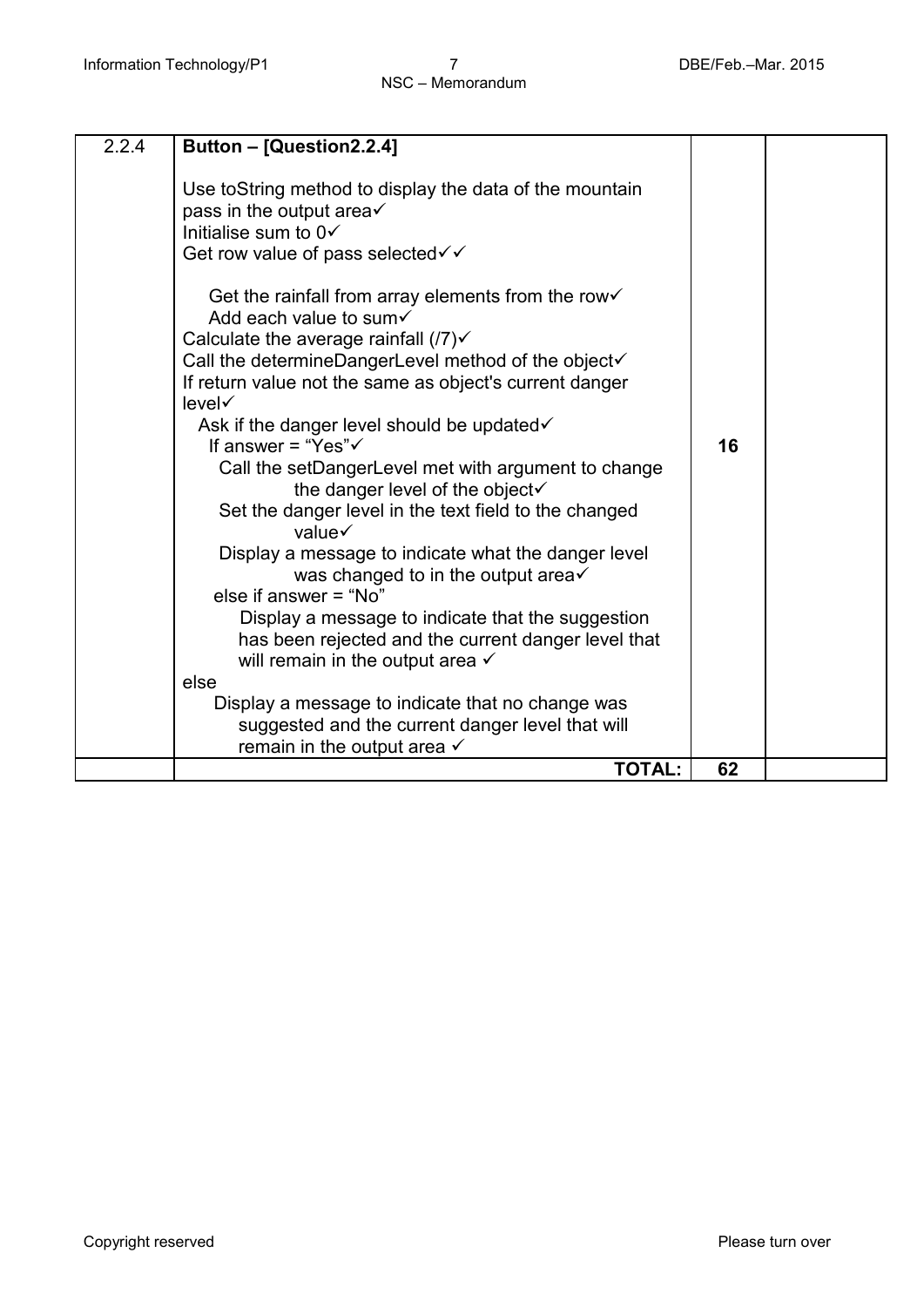| 2.2.4 | Button - [Question2.2.4]                                                                                                                                                                                                                            |    |  |
|-------|-----------------------------------------------------------------------------------------------------------------------------------------------------------------------------------------------------------------------------------------------------|----|--|
|       | Use to String method to display the data of the mountain<br>pass in the output area $\checkmark$<br>Initialise sum to $0\checkmark$<br>Get row value of pass selected√√                                                                             |    |  |
|       | Get the rainfall from array elements from the row√<br>Add each value to sum√<br>Calculate the average rainfall $(7)$ $\checkmark$<br>Call the determineDangerLevel method of the object√<br>If return value not the same as object's current danger |    |  |
|       | level√<br>Ask if the danger level should be updated√<br>If answer = "Yes" $\checkmark$                                                                                                                                                              | 16 |  |
|       | Call the setDangerLevel met with argument to change<br>the danger level of the object√<br>Set the danger level in the text field to the changed<br>value√                                                                                           |    |  |
|       | Display a message to indicate what the danger level<br>was changed to in the output area√<br>else if answer = "No"                                                                                                                                  |    |  |
|       | Display a message to indicate that the suggestion<br>has been rejected and the current danger level that<br>will remain in the output area $\checkmark$<br>else                                                                                     |    |  |
|       | Display a message to indicate that no change was<br>suggested and the current danger level that will<br>remain in the output area $\checkmark$                                                                                                      |    |  |
|       | <b>TOTAL:</b>                                                                                                                                                                                                                                       | 62 |  |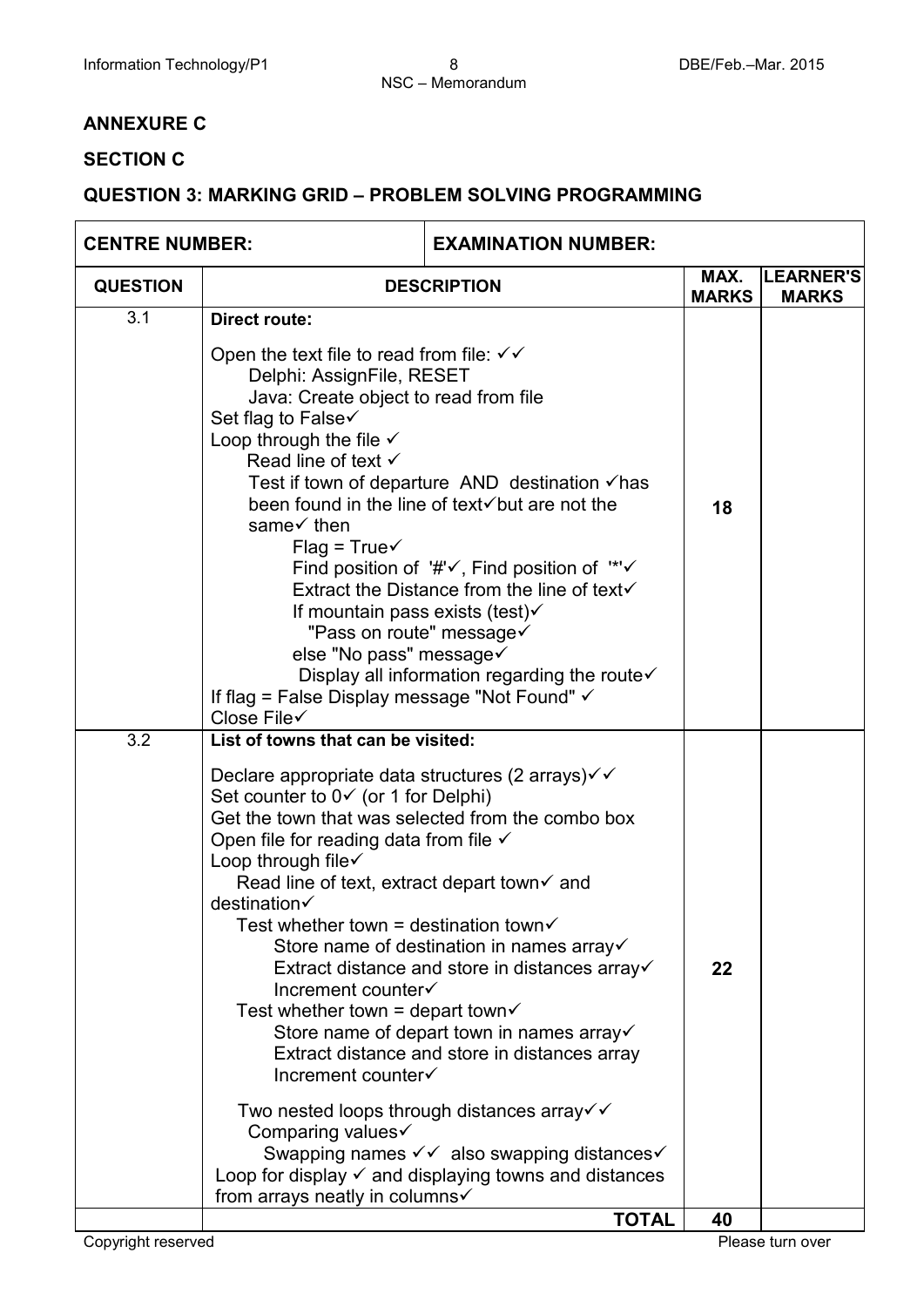### **ANNEXURE C**

### **SECTION C**

### **QUESTION 3: MARKING GRID – PROBLEM SOLVING PROGRAMMING**

| <b>CENTRE NUMBER:</b> |                                                                                                                                                                                                                                                                                                                                                                                                                                                                                                                                                                                                                                                                                                                                                                                                                                                                                                                                         | <b>EXAMINATION NUMBER:</b> |                      |                           |
|-----------------------|-----------------------------------------------------------------------------------------------------------------------------------------------------------------------------------------------------------------------------------------------------------------------------------------------------------------------------------------------------------------------------------------------------------------------------------------------------------------------------------------------------------------------------------------------------------------------------------------------------------------------------------------------------------------------------------------------------------------------------------------------------------------------------------------------------------------------------------------------------------------------------------------------------------------------------------------|----------------------------|----------------------|---------------------------|
| <b>QUESTION</b>       | <b>DESCRIPTION</b>                                                                                                                                                                                                                                                                                                                                                                                                                                                                                                                                                                                                                                                                                                                                                                                                                                                                                                                      |                            | MAX.<br><b>MARKS</b> | LEARNER'S<br><b>MARKS</b> |
| 3.1                   | <b>Direct route:</b><br>Open the text file to read from file: $\checkmark\checkmark$<br>Delphi: AssignFile, RESET<br>Java: Create object to read from file<br>Set flag to False√<br>Loop through the file $\checkmark$<br>Read line of text $\checkmark$<br>Test if town of departure AND destination $\checkmark$ has<br>been found in the line of text√but are not the<br>same√ then<br>$Flag = True \checkmark$<br>Find position of $'\# \checkmark$ , Find position of "*' $\checkmark$<br>Extract the Distance from the line of text√<br>If mountain pass exists (test) $\checkmark$<br>"Pass on route" message<br>else "No pass" message√<br>Display all information regarding the route√<br>If flag = False Display message "Not Found" √<br>Close File√                                                                                                                                                                         |                            | 18                   |                           |
| 3.2                   | List of towns that can be visited:<br>Declare appropriate data structures (2 arrays) $\checkmark$ $\checkmark$<br>Set counter to 0√ (or 1 for Delphi)<br>Get the town that was selected from the combo box<br>Open file for reading data from file $\checkmark$<br>Loop through file√<br>Read line of text, extract depart town of and<br>destination√<br>Test whether town = destination town $\checkmark$<br>Store name of destination in names array√<br>Extract distance and store in distances array√<br>Increment counter√<br>Test whether town = depart town $\checkmark$<br>Store name of depart town in names array√<br>Extract distance and store in distances array<br>Increment counter<br>Two nested loops through distances array $\checkmark$<br>Comparing values√<br>Swapping names v v also swapping distances v<br>Loop for display $\checkmark$ and displaying towns and distances<br>from arrays neatly in columns√ |                            | 22                   |                           |
|                       |                                                                                                                                                                                                                                                                                                                                                                                                                                                                                                                                                                                                                                                                                                                                                                                                                                                                                                                                         | <b>TOTAL</b>               | 40                   |                           |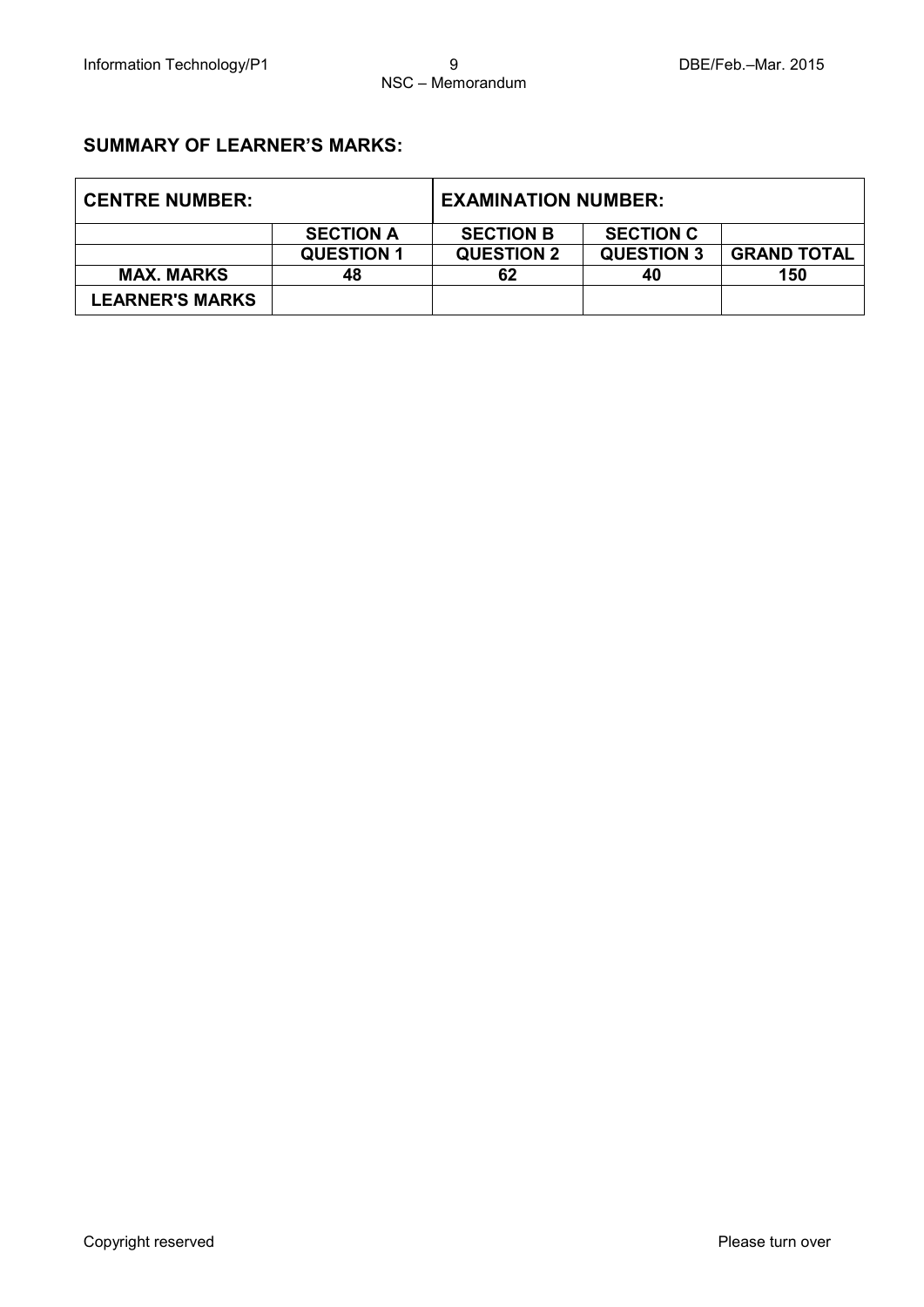### **SUMMARY OF LEARNER'S MARKS:**

| <b>CENTRE NUMBER:</b>  |                   | <b>EXAMINATION NUMBER:</b> |                   |                    |
|------------------------|-------------------|----------------------------|-------------------|--------------------|
|                        | <b>SECTION A</b>  | <b>SECTION B</b>           | <b>SECTION C</b>  |                    |
|                        | <b>QUESTION 1</b> | <b>QUESTION 2</b>          | <b>QUESTION 3</b> | <b>GRAND TOTAL</b> |
| <b>MAX. MARKS</b>      | 48                | 62                         | 40                | 150                |
| <b>LEARNER'S MARKS</b> |                   |                            |                   |                    |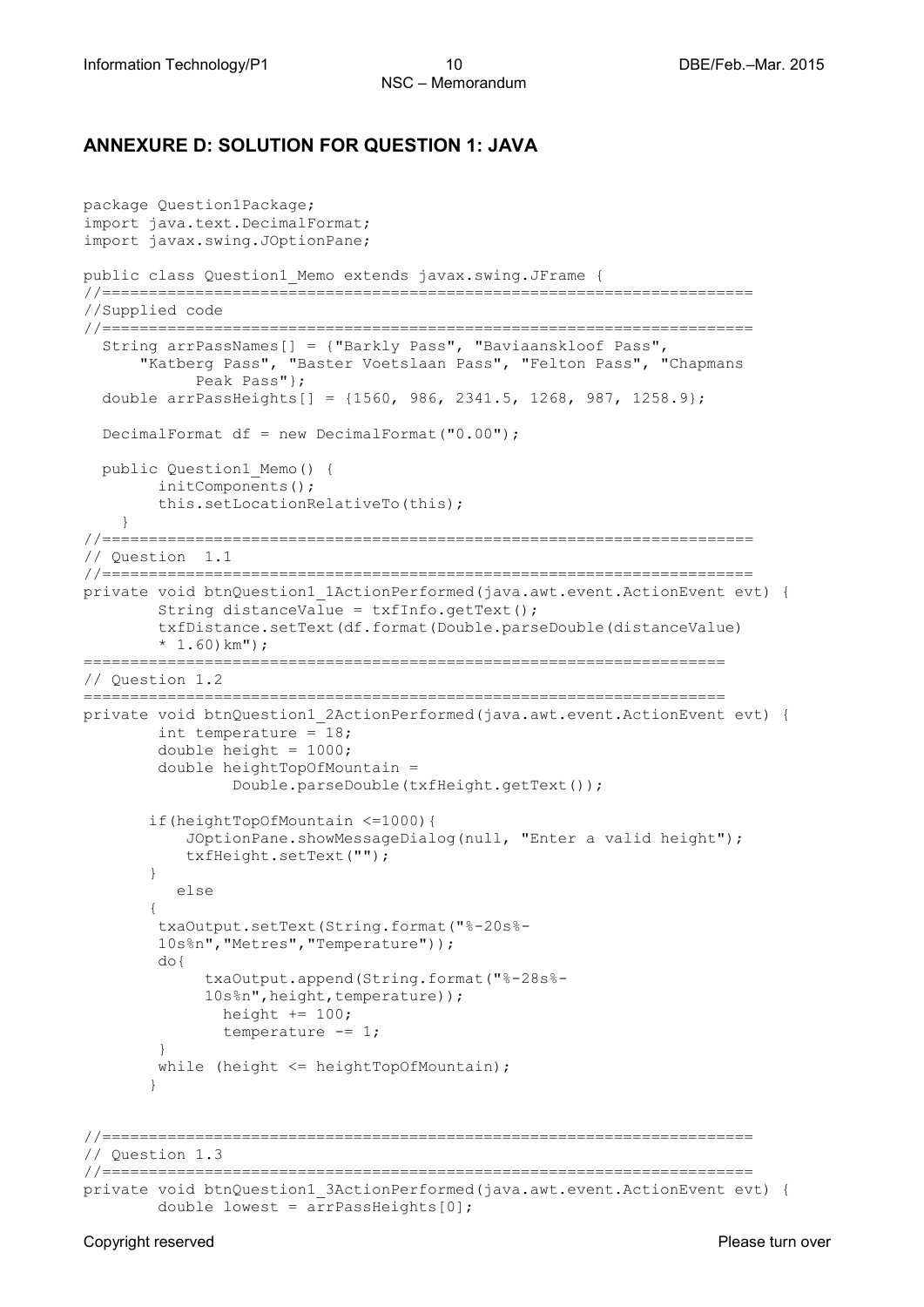### **ANNEXURE D: SOLUTION FOR QUESTION 1: JAVA**

```
package Question1Package;
import java.text.DecimalFormat;
import javax.swing.JOptionPane;
public class Question1_Memo extends javax.swing.JFrame {
//======================================================================
//Supplied code
//======================================================================
   String arrPassNames[] = {"Barkly Pass", "Baviaanskloof Pass", 
      "Katberg Pass", "Baster Voetslaan Pass", "Felton Pass", "Chapmans 
            Peak Pass"}; 
   double arrPassHeights[] = {1560, 986, 2341.5, 1268, 987, 1258.9};
   DecimalFormat df = new DecimalFormat("0.00");
  public Question1_Memo() {
         initComponents();
         this.setLocationRelativeTo(this);
     }
//======================================================================
// Question 1.1
//======================================================================
private void btnQuestion1_1ActionPerformed(java.awt.event.ActionEvent evt) { 
         String distanceValue = txfInfo.getText(); 
         txfDistance.setText(df.format(Double.parseDouble(distanceValue) 
        * 1.60) km");
=====================================================================
// Question 1.2
=====================================================================
private void btnQuestion1_2ActionPerformed(java.awt.event.ActionEvent evt) { 
       int temperature = 18;
         double height = 1000;
         double heightTopOfMountain = 
                 Double.parseDouble(txfHeight.getText());
        if(heightTopOfMountain <=1000){
           JOptionPane.showMessageDialog(null, "Enter a valid height");
            txfHeight.setText("");
        }
           else
\{ txaOutput.setText(String.format("%-20s%-
         10s%n","Metres","Temperature"));
         do{
              txaOutput.append(String.format("%-28s%-
             10s%n", height, temperature) ) ;
               height += 100;
               temperature - = 1;
 }
       while (height \leq heightTopOfMountain);
 }
//======================================================================
// Question 1.3
//======================================================================
private void btnQuestion1_3ActionPerformed(java.awt.event.ActionEvent evt) { 
        double lowest = arrPassHeights[0];
```
Copyright reserved **Please turn over the Copyright reserved** Please turn over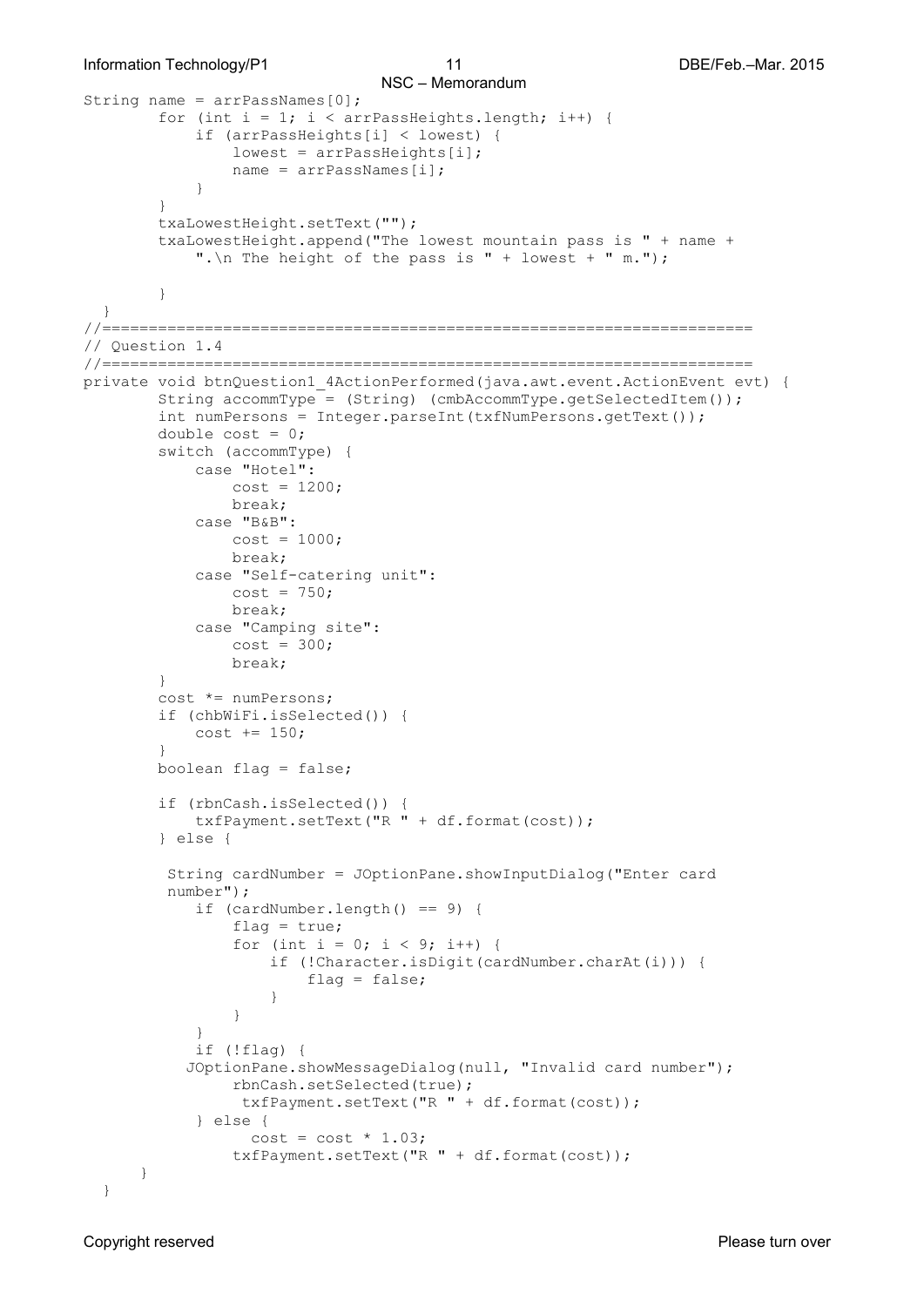```
String name = arrPassNames[0];
       for (int i = 1; i < arrPassHeights.length; i++) {
            if (arrPassHeights[i] < lowest) {
               lowest = arrPassHeights[i];name = arrPassNames[i];<br>}
 }
}
        txaLowestHeight.setText("");
        txaLowestHeight.append("The lowest mountain pass is " + name + 
           ". \n The height of the pass is " + lowest + " m.");
 }
  }
//====================================================================== 
// Question 1.4
//======================================================================
private void btnQuestion1_4ActionPerformed(java.awt.event.ActionEvent evt) { 
        String accommType = (String) (cmbAccommType.getSelectedItem());
        int numPersons = Integer.parseInt(txfNumPersons.getText());
       double cost = 0;
        switch (accommType) {
            case "Hotel":
               cost = 1200; break;
            case "B&B":
               cost = 1000; break;
            case "Self-catering unit":
               cost = 750; break;
            case "Camping site":
               cost = 300; break;
 }
        cost *= numPersons;
        if (chbWiFi.isSelected()) {
           cost := 150; }
        boolean flag = false;
        if (rbnCash.isSelected()) {
            txfPayment.setText("R " + df.format(cost));
        } else {
         String cardNumber = JOptionPane.showInputDialog("Enter card 
         number");
            if (cardNumber.length() == 9) { 
               flag = true;for (int i = 0; i < 9; i++) {
                    if (!Character.isDigit(cardNumber.charAt(i))) {
                   flag = false;
 }
 }
 }
            if (!flag) {
           JOptionPane.showMessageDialog(null, "Invalid card number");
                rbnCash.setSelected(true);
                 txfPayment.setText("R " + df.format(cost));
            } else {
                 cost = cost * 1.03; txfPayment.setText("R " + df.format(cost));
      }
  }
```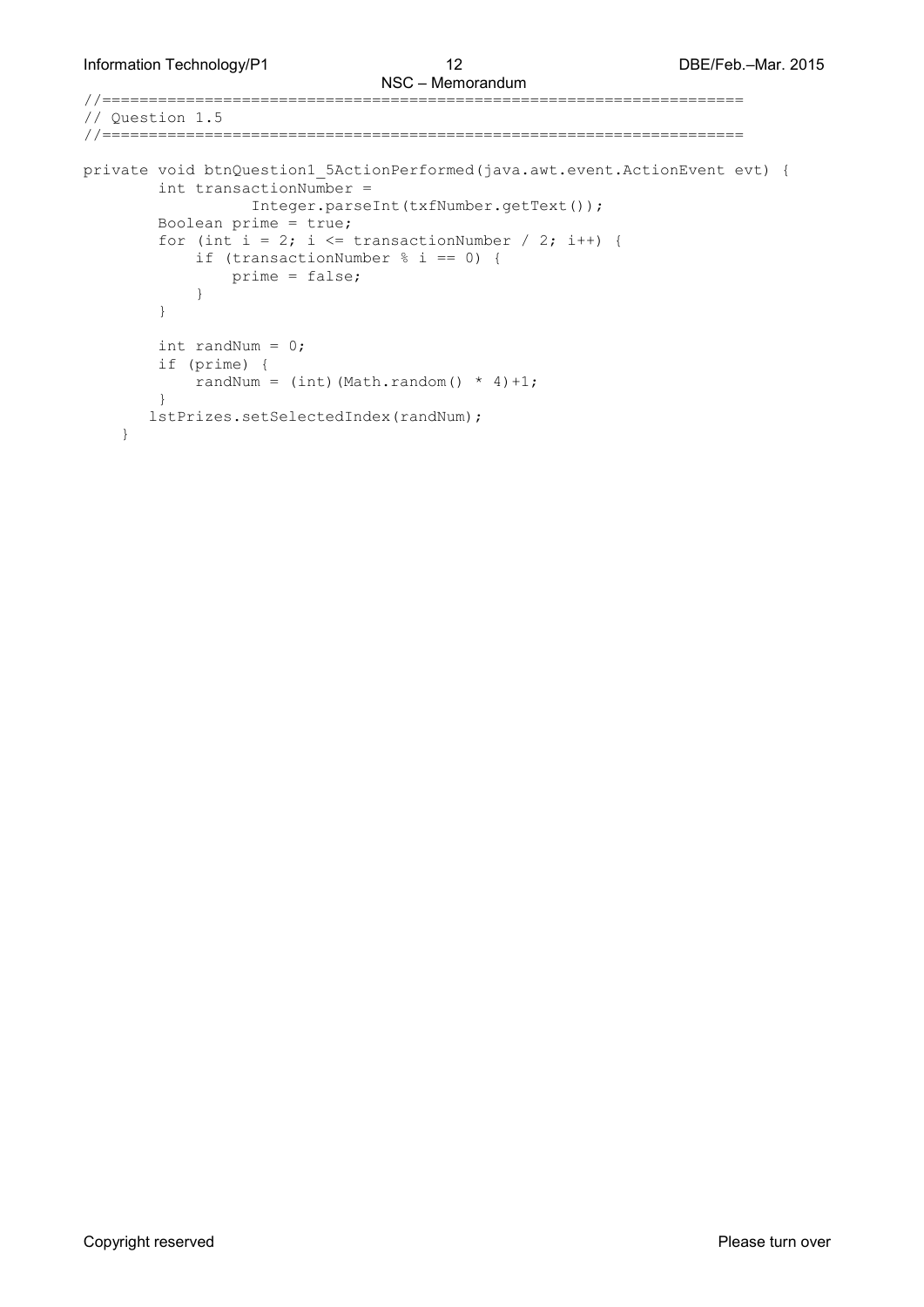//=====================================================================

```
// Question 1.5
//=====================================================================
private void btnQuestion1_5ActionPerformed(java.awt.event.ActionEvent evt) { 
         int transactionNumber = 
                 Integer.parseInt(txfNumber.getText());
         Boolean prime = true;
        for (int i = 2; i <= transactionNumber / 2; i++) {
             if (transactionNumber % i == 0) {
            prime = false;<br>}
 }
         }
         int randNum = 0;
         if (prime) {
            randNum = (int) (Math.random() * 4)+1;
         }
        lstPrizes.setSelectedIndex(randNum);
     }
```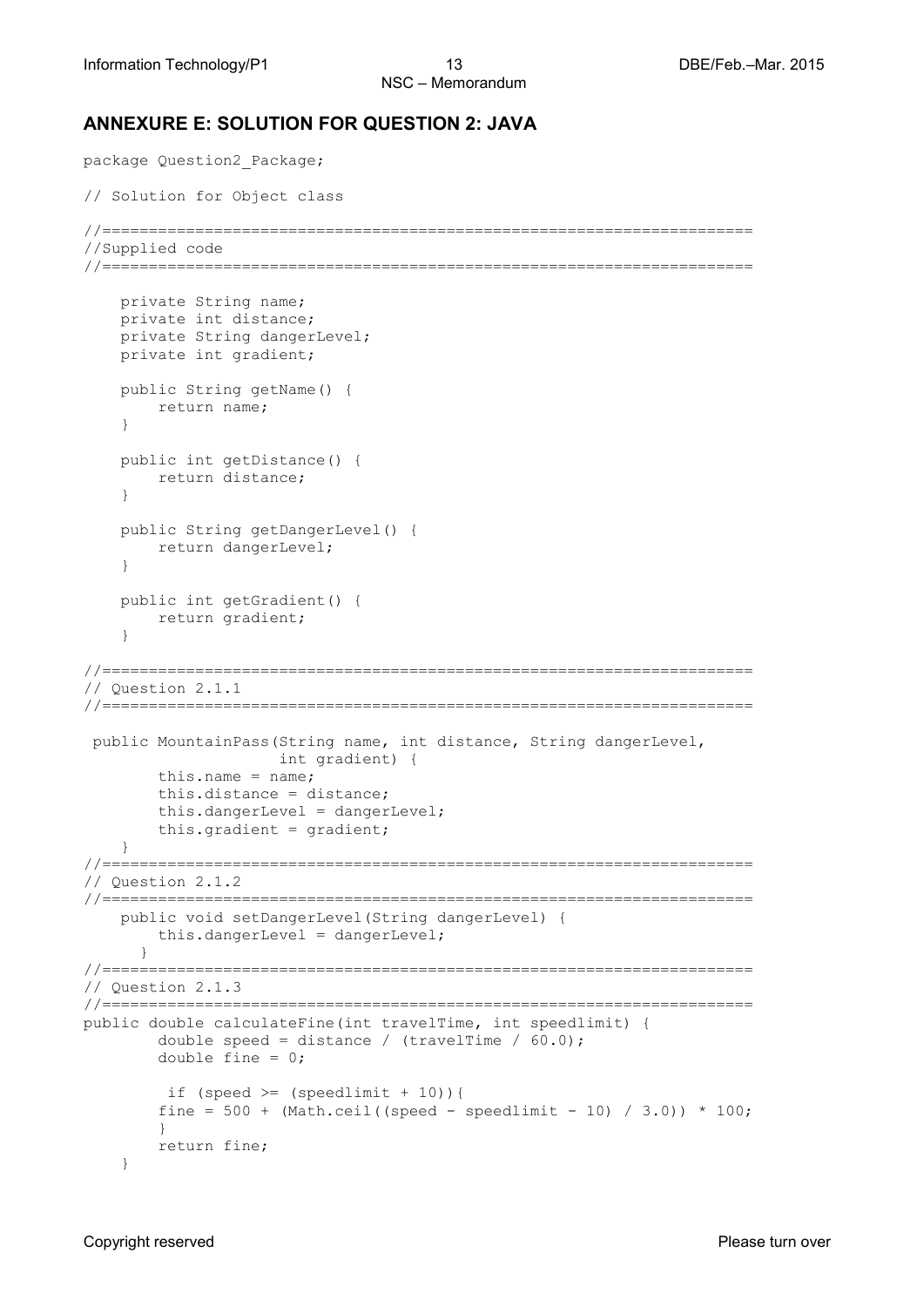### **ANNEXURE E: SOLUTION FOR QUESTION 2: JAVA**

```
package Question2_Package;
// Solution for Object class
//======================================================================
//Supplied code
//======================================================================
     private String name;
     private int distance;
    private String dangerLevel;
    private int gradient;
     public String getName() {
         return name;
     }
     public int getDistance() {
         return distance;
     }
     public String getDangerLevel() {
         return dangerLevel;
     }
     public int getGradient() {
         return gradient;
     }
//======================================================================
// Question 2.1.1
//======================================================================
public MountainPass(String name, int distance, String dangerLevel,
                      int gradient) {
        this.name = name;
         this.distance = distance;
         this.dangerLevel = dangerLevel;
         this.gradient = gradient;
     }
//======================================================================
// Question 2.1.2
//======================================================================
     public void setDangerLevel(String dangerLevel) {
         this.dangerLevel = dangerLevel;
 } 
//======================================================================
// Question 2.1.3
//======================================================================
public double calculateFine(int travelTime, int speedlimit) {
        double speed = distance / (\text{travelTime} / 60.0);
         double fine = 0; 
        if (speed >= (speedlimit + 10)) {
        fine = 500 + (Math.ceil((speed - speedlimit - 10) / 3.0)) * 100; }
        return fine; 
     }
```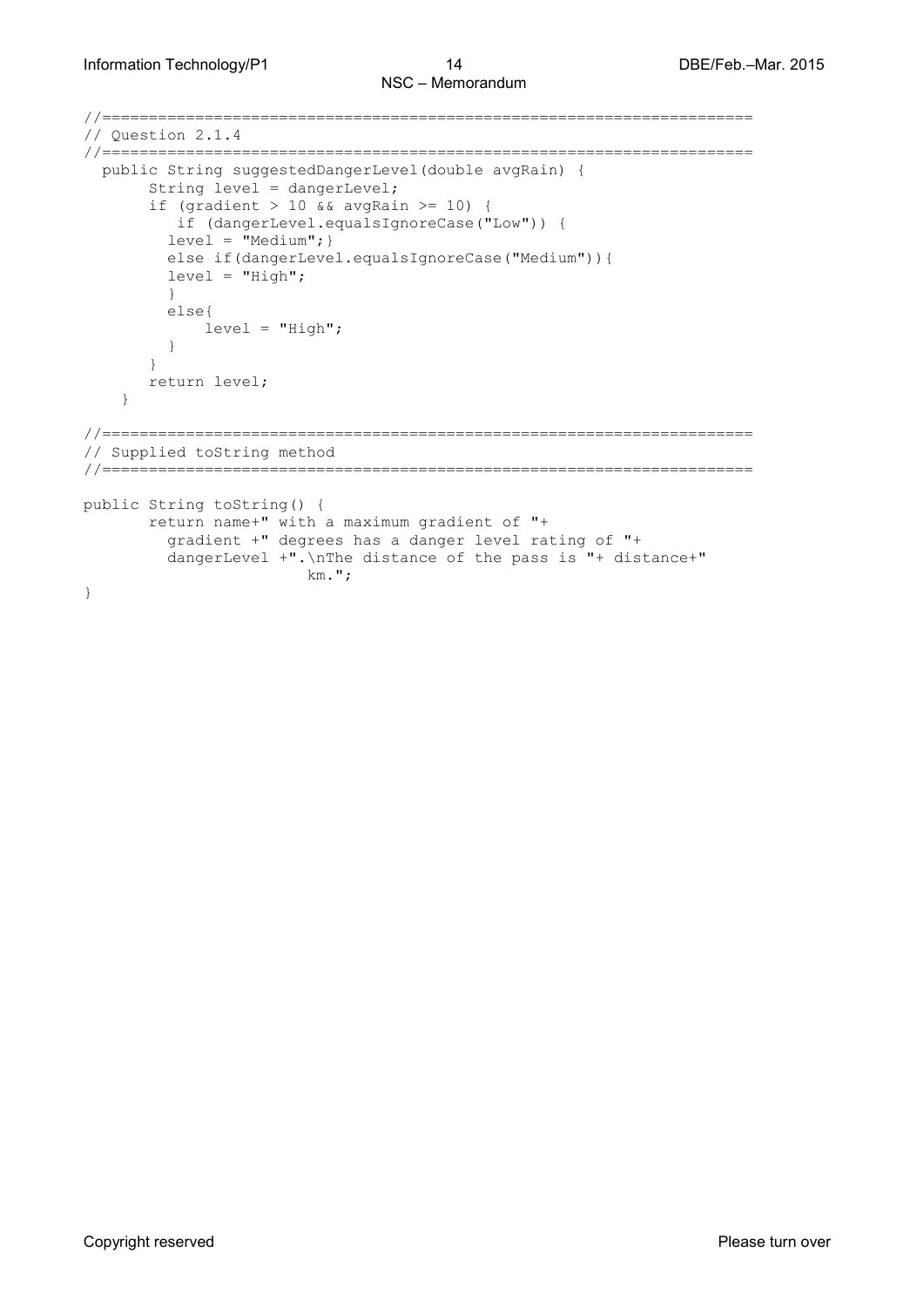```
//======================================================================
// Question 2.1.4
//======================================================================
  public String suggestedDangerLevel(double avgRain) { 
       String level = dangerLevel;
      if (gradient > 10 && avgRain >= 10) {
          if (dangerLevel.equalsIgnoreCase("Low")) {
        level = "Median"; else if(dangerLevel.equalsIgnoreCase("Medium")){ 
        level = "High"; }
         else{
        level = "High";
}
 }
       return level;
    }
//======================================================================
// Supplied toString method
//======================================================================
public String toString() {
       return name+" with a maximum gradient of "+
         gradient +" degrees has a danger level rating of "+
         dangerLevel +".\nThe distance of the pass is "+ distance+" 
                       km.";
}
```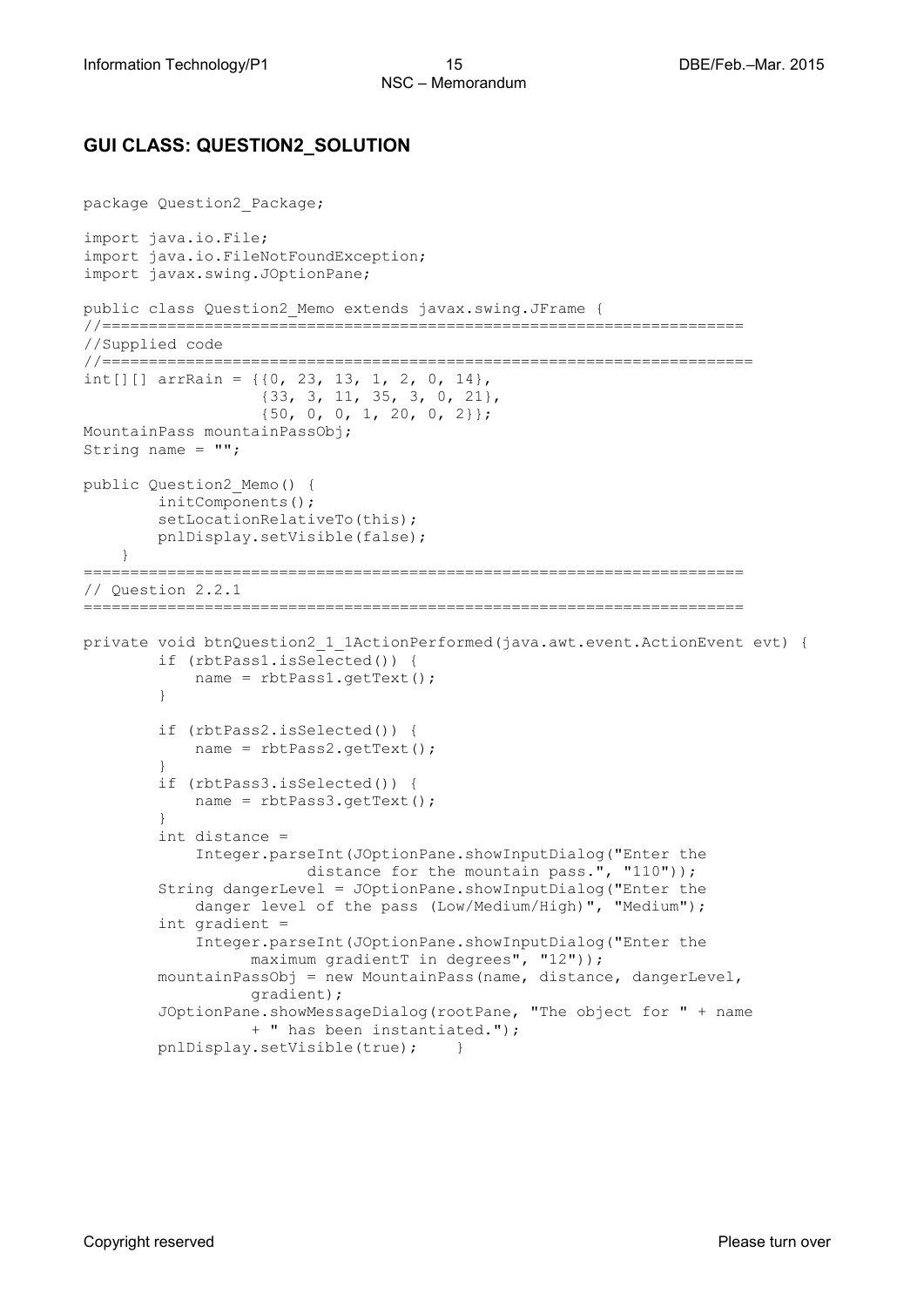### **GUI CLASS: QUESTION2\_SOLUTION**

```
package Question2_Package;
import java.io.File;
import java.io.FileNotFoundException;
import javax.swing.JOptionPane;
public class Question2_Memo extends javax.swing.JFrame {
//=====================================================================
//Supplied code
//======================================================================
int[][] arrRain = \{(0, 23, 13, 1, 2, 0, 14\},\) {33, 3, 11, 35, 3, 0, 21},
                   {50, 0, 0, 1, 20, 0, 2}};
MountainPass mountainPassObj;
String name = "";
public Question2_Memo() {
        initComponents();
        setLocationRelativeTo(this);
         pnlDisplay.setVisible(false);
     }
=======================================================================
// Question 2.2.1
=======================================================================
private void btnQuestion2_1_1ActionPerformed(java.awt.event.ActionEvent evt) { 
         if (rbtPass1.isSelected()) {
        name = rbtPass1.getText();<br>}
 }
         if (rbtPass2.isSelected()) {
             name = rbtPass2.getText();
 }
         if (rbtPass3.isSelected()) {
             name = rbtPass3.getText();
 }
         int distance = 
            Integer.parseInt(JOptionPane.showInputDialog("Enter the 
                        distance for the mountain pass.", "110"));
         String dangerLevel = JOptionPane.showInputDialog("Enter the 
            danger level of the pass (Low/Medium/High)", "Medium");
         int gradient = 
            Integer.parseInt(JOptionPane.showInputDialog("Enter the 
                  maximum gradientT in degrees", "12"));
         mountainPassObj = new MountainPass(name, distance, dangerLevel, 
                  gradient);
         JOptionPane.showMessageDialog(rootPane, "The object for " + name 
                  + " has been instantiated."); 
        pnlDisplay.setVisible(true); }
```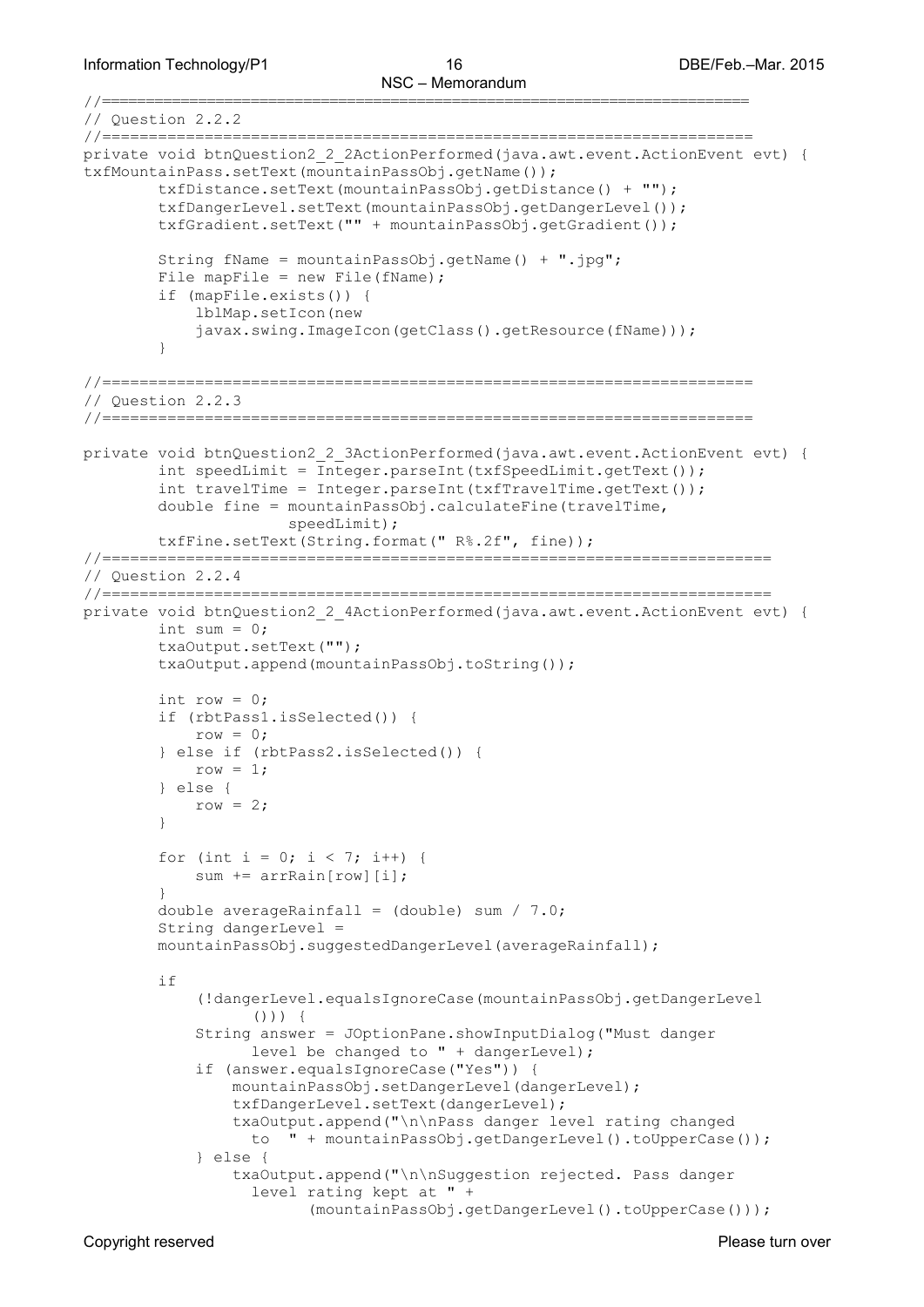Information Technology/P1 16 16 16 DBE/Feb.–Mar. 2015

```
//==========================================================================
// Question 2.2.2
//======================================================================
private void btnQuestion2_2_2ActionPerformed(java.awt.event.ActionEvent evt) { 
txfMountainPass.setText(mountainPassObj.getName());
         txfDistance.setText(mountainPassObj.getDistance() + "");
         txfDangerLevel.setText(mountainPassObj.getDangerLevel());
         txfGradient.setText("" + mountainPassObj.getGradient());
         String fName = mountainPassObj.getName() + ".jpg";
        File mapFile = new File(fName);
         if (mapFile.exists()) {
             lblMap.setIcon(new 
            javax.swing.ImageIcon(getClass().getResource(fName)));
 }
//======================================================================
// Question 2.2.3
//======================================================================
private void btnQuestion2_2_3ActionPerformed(java.awt.event.ActionEvent evt) { 
         int speedLimit = Integer.parseInt(txfSpeedLimit.getText());
         int travelTime = Integer.parseInt(txfTravelTime.getText());
         double fine = mountainPassObj.calculateFine(travelTime, 
                       speedLimit);
         txfFine.setText(String.format(" R%.2f", fine));
//========================================================================
// Question 2.2.4
//========================================================================
private void btnQuestion2 2 4ActionPerformed(java.awt.event.ActionEvent evt) {
        int sum = 0;
         txaOutput.setText("");
         txaOutput.append(mountainPassObj.toString());
        int row = 0;
         if (rbtPass1.isSelected()) {
            row = 0; } else if (rbtPass2.isSelected()) {
            row = 1; } else {
        row = 2;
 }
        for (int i = 0; i < 7; i++) {
        sum += arrRain[row][i];
 }
         double averageRainfall = (double) sum / 7.0;
         String dangerLevel = 
        mountainPassObj.suggestedDangerLevel(averageRainfall);
         if 
            (!dangerLevel.equalsIgnoreCase(mountainPassObj.getDangerLevel
                  () ) {
             String answer = JOptionPane.showInputDialog("Must danger 
                  level be changed to " + dangerLevel);
             if (answer.equalsIgnoreCase("Yes")) {
                 mountainPassObj.setDangerLevel(dangerLevel);
                 txfDangerLevel.setText(dangerLevel);
                 txaOutput.append("\n\nPass danger level rating changed 
                  to " + mountainPassObj.getDangerLevel().toUpperCase());
             } else {
                 txaOutput.append("\n\nSuggestion rejected. Pass danger 
                  level rating kept at " + 
                        (mountainPassObj.getDangerLevel().toUpperCase()));
```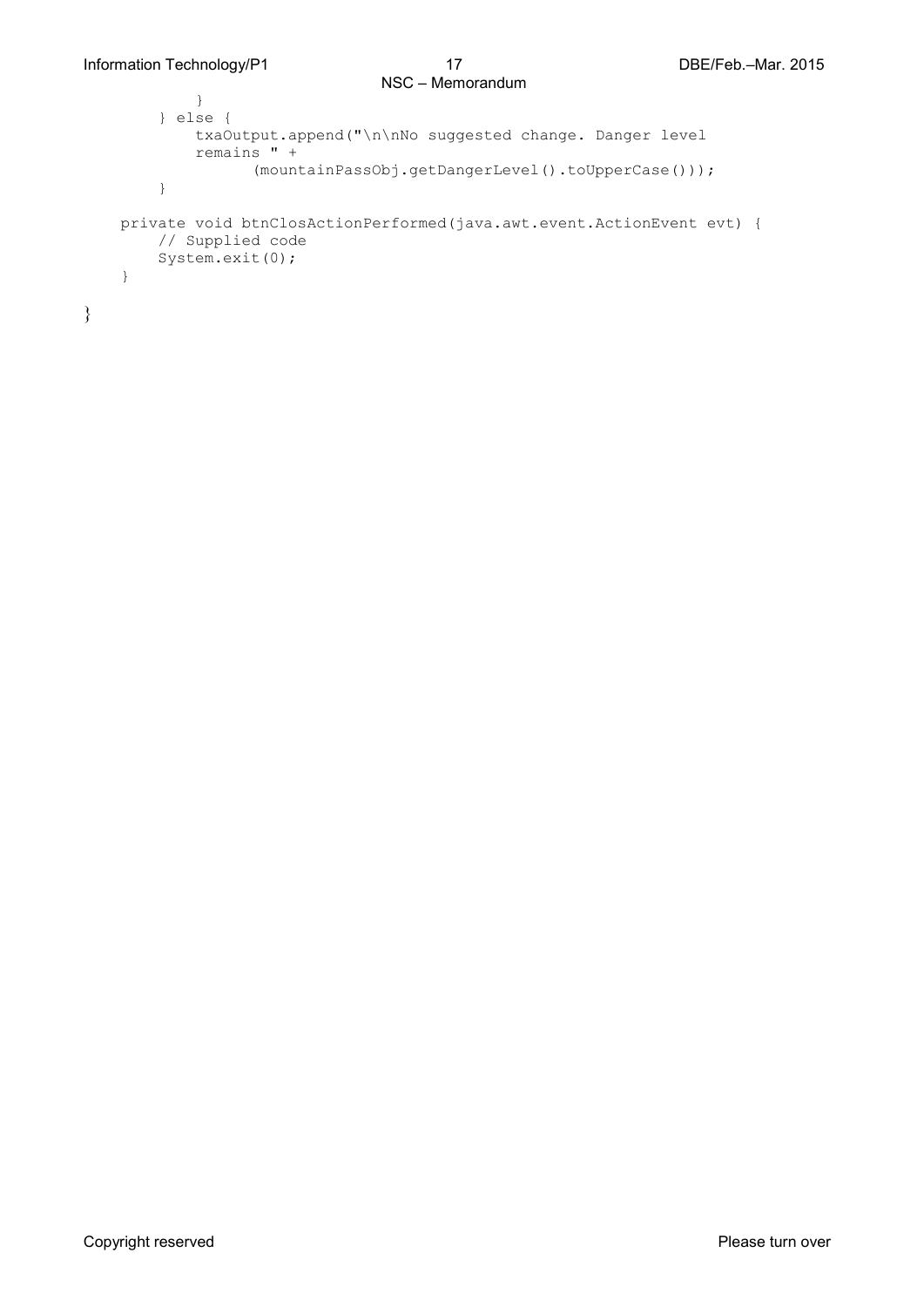```
 }
 } else {
            txaOutput.append("\n\nNo suggested change. Danger level 
           remains " + 
                 (mountainPassObj.getDangerLevel().toUpperCase()));
        }
    private void btnClosActionPerformed(java.awt.event.ActionEvent evt) { 
        // Supplied code
        System.exit(0);
    } 
}
```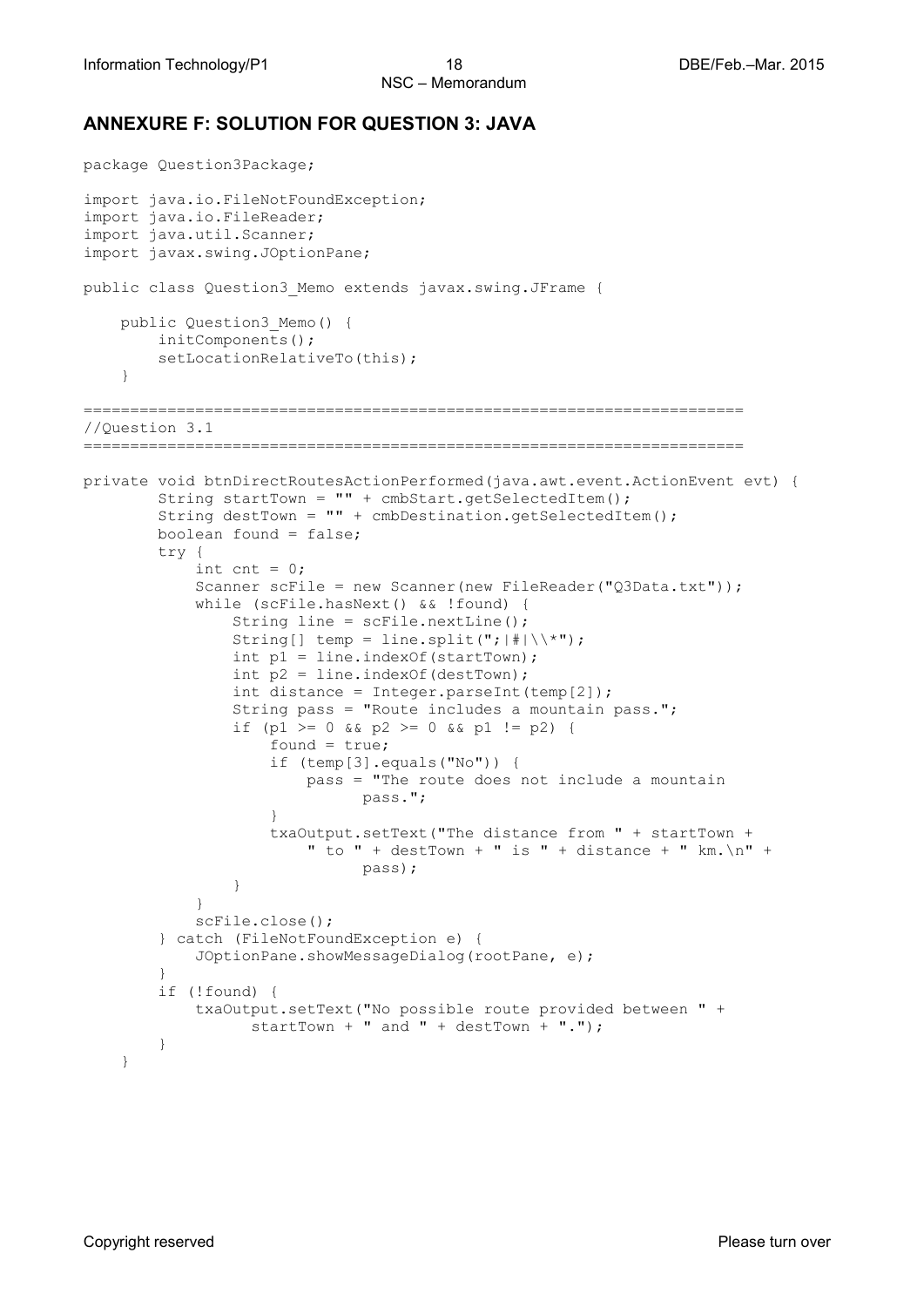### **ANNEXURE F: SOLUTION FOR QUESTION 3: JAVA**

```
package Question3Package;
import java.io.FileNotFoundException;
import java.io.FileReader;
import java.util.Scanner;
import javax.swing.JOptionPane;
public class Question3_Memo extends javax.swing.JFrame {
     public Question3_Memo() {
         initComponents();
       setLocationRelativeTo(this);
     }
=======================================================================
//Question 3.1
=======================================================================
private void btnDirectRoutesActionPerformed(java.awt.event.ActionEvent evt) { 
         String startTown = "" + cmbStart.getSelectedItem();
        String destTown = "" + cmbDestination.getSelectedItem();
        boolean found = false;
        try {
            int cnt = 0;
            Scanner scFile = new Scanner(new FileReader("Q3Data.txt"));
             while (scFile.hasNext() && !found) {
               String line = scFile.nextLine();
               String[] temp = line.split(";|#|\backslash\*");
               int p1 = line.indexOf(startDown);int p2 = line.indexOf(destDown);int distance = Integer.parseInt(temp[2]);
                String pass = "Route includes a mountain pass.";
               if (p1 >= 0 && p2 >= 0 && p1 != p2) {
                    found = true;if (temp[3].equals("No")) {
                        pass = "The route does not include a mountain 
                             pass.";
 }
                   txaOutput.setText("The distance from " + startTown + 
                        " to " + destTown + " is " + distance + " km. \n\times n" +
                             pass);
 }
 }
            scFile.close();
         } catch (FileNotFoundException e) {
        JOptionPane.showMessageDialog(rootPane, e);
 }
         if (!found) {
            txaOutput.setText("No possible route provided between " + 
                 startTown + " and " + destTown + ".");
 }
     }
```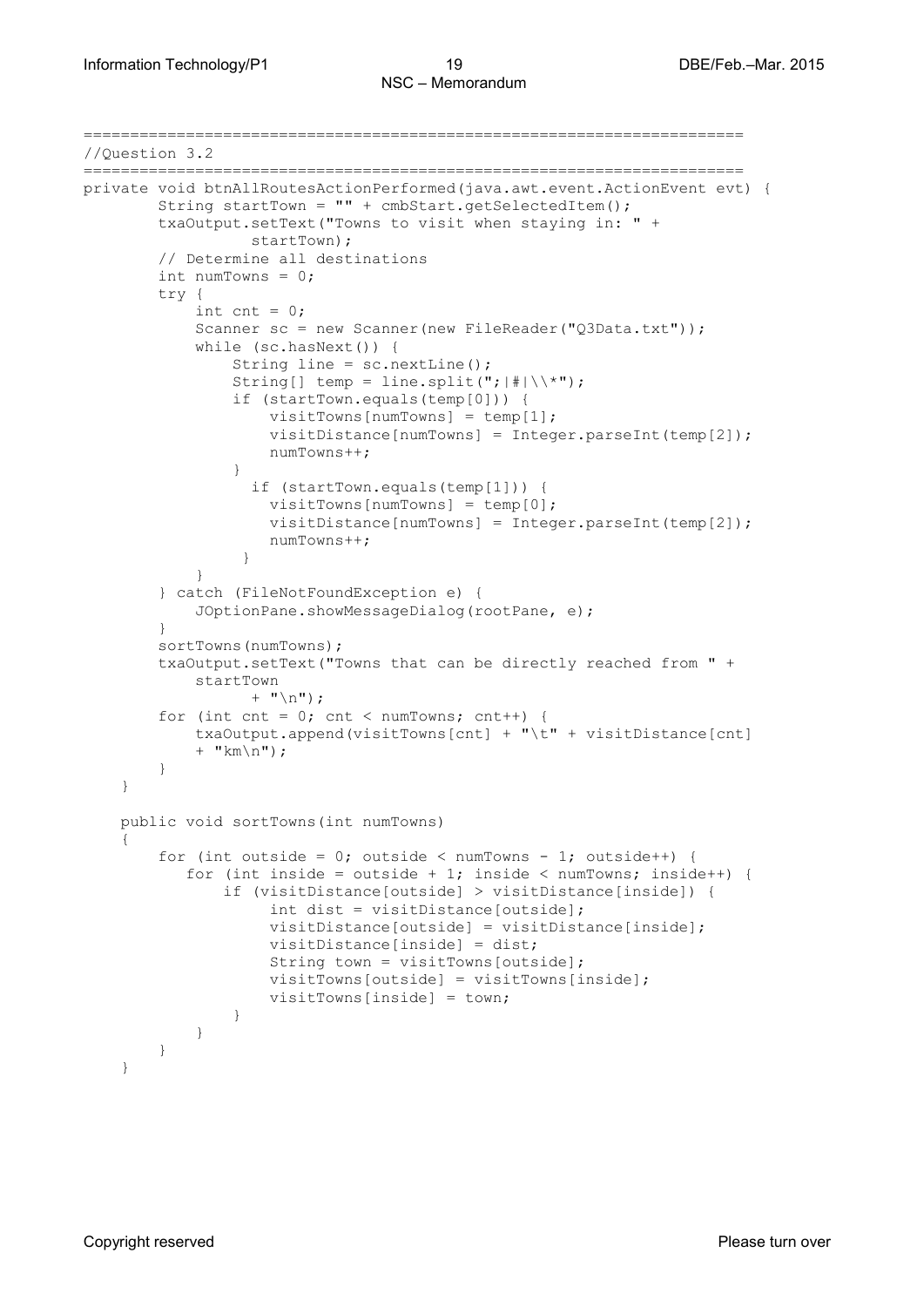```
=======================================================================
//Question 3.2
=======================================================================
private void btnAllRoutesActionPerformed(java.awt.event.ActionEvent evt) { 
        String startTown = "" + cmbStart.getSelectedItem();
        txaOutput.setText("Towns to visit when staying in: " + 
                 startTown);
         // Determine all destinations
         int numTowns = 0;
         try {
            int cnt = 0;
            Scanner sc = new Scanner(new FileReader("Q3Data.txt"));
             while (sc.hasNext()) {
                 String line = sc.nextLine();
                String[] temp = line.split("; |#|\rangle\*");
                 if (startTown.equals(temp[0])) {
                    visitTowns[numTowns] = temp[1];
                    visitDistance[numTowns] = Integer.parseInt(temp[2]);
                   numTowns++;
 }
                  if (startTown.equals(temp[1])) {
                    visitTowns[numTowns] = temp[0];
                    visitDistance[numTowns] = Integer.parseInt(temp[2]);
                   numTowns++;
 }
 }
         } catch (FileNotFoundException e) {
             JOptionPane.showMessageDialog(rootPane, e);
 }
         sortTowns(numTowns);
         txaOutput.setText("Towns that can be directly reached from " + 
           startTown 
                 + "\n\langle n" \rangle;
        for (int cnt = 0; cnt < numTowns; cnt++) {
            txaOutput.append(visitTowns[cnt] + "\t" + visitDistance[cnt] 
           + "km\n\rangle n");
        }
     } 
    public void sortTowns(int numTowns)
     {
        for (int outside = 0; outside < numTowns - 1; outside++) {
           for (int inside = outside + 1; inside < numTowns; inside++) {
                if (visitDistance[outside] > visitDistance[inside]) {
                     int dist = visitDistance[outside];
                    visitDistance[outside] = visitDistance[inside];
                   visitDistance[inside] = dist;
                   String town = visitTowns[outside];
                   visitTowns[outside] = visitTowns[inside];
                   visitTowns[inside] = town;
 }
 }
        }
     }
```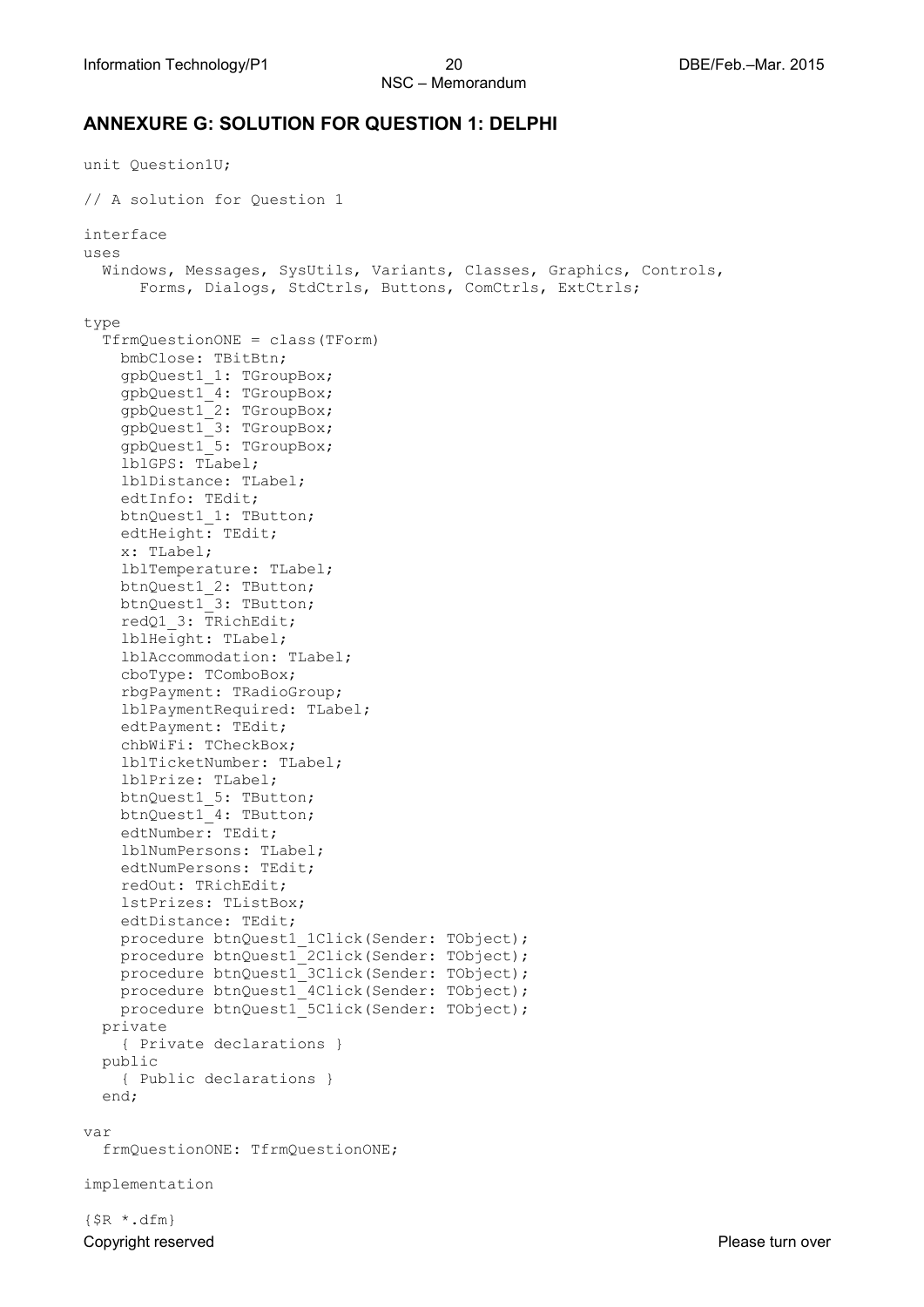### **ANNEXURE G: SOLUTION FOR QUESTION 1: DELPHI**

```
unit Question1U;
// A solution for Question 1
interface
uses
   Windows, Messages, SysUtils, Variants, Classes, Graphics, Controls, 
      Forms, Dialogs, StdCtrls, Buttons, ComCtrls, ExtCtrls;
type
   TfrmQuestionONE = class(TForm)
     bmbClose: TBitBtn;
     gpbQuest1_1: TGroupBox;
     gpbQuest1_4: TGroupBox;
     gpbQuest1_2: TGroupBox;
     gpbQuest1_3: TGroupBox;
     gpbQuest1_5: TGroupBox;
     lblGPS: TLabel;
     lblDistance: TLabel;
     edtInfo: TEdit;
     btnQuest1_1: TButton;
     edtHeight: TEdit;
     x: TLabel;
     lblTemperature: TLabel;
     btnQuest1_2: TButton;
     btnQuest1_3: TButton;
     redQ1_3: TRichEdit;
     lblHeight: TLabel;
     lblAccommodation: TLabel;
     cboType: TComboBox;
     rbgPayment: TRadioGroup;
     lblPaymentRequired: TLabel;
     edtPayment: TEdit;
     chbWiFi: TCheckBox;
     lblTicketNumber: TLabel;
     lblPrize: TLabel;
     btnQuest1_5: TButton;
     btnQuest1_4: TButton;
     edtNumber: TEdit;
     lblNumPersons: TLabel;
     edtNumPersons: TEdit;
     redOut: TRichEdit;
     lstPrizes: TListBox;
     edtDistance: TEdit;
     procedure btnQuest1_1Click(Sender: TObject);
     procedure btnQuest1_2Click(Sender: TObject);
    procedure btnQuest1<sup>-3Click</sup>(Sender: TObject);
     procedure btnQuest1_4Click(Sender: TObject);
     procedure btnQuest1_5Click(Sender: TObject);
   private
     { Private declarations }
   public
     { Public declarations }
   end;
var
   frmQuestionONE: TfrmQuestionONE;
implementation
```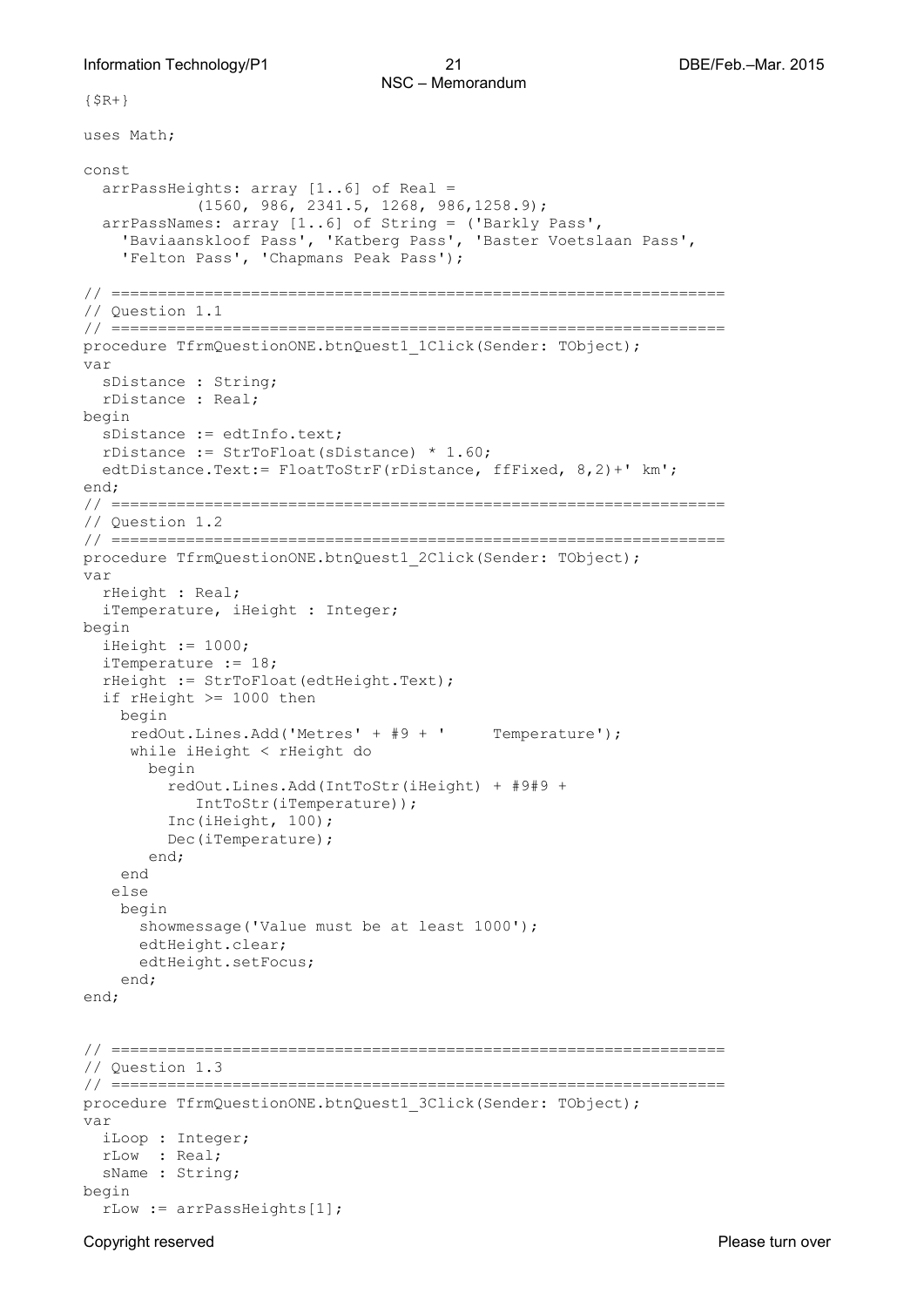```
{S R + }
```
uses Math;

```
const
   arrPassHeights: array [1..6] of Real = 
            (1560, 986, 2341.5, 1268, 986,1258.9);
   arrPassNames: array [1..6] of String = ('Barkly Pass',
     'Baviaanskloof Pass', 'Katberg Pass', 'Baster Voetslaan Pass',
     'Felton Pass', 'Chapmans Peak Pass');
// ==================================================================
// Question 1.1 
// ==================================================================
procedure TfrmQuestionONE.btnQuest1_1Click(Sender: TObject);
var
   sDistance : String;
  rDistance : Real;
begin
   sDistance := edtInfo.text;
   rDistance := StrToFloat(sDistance) * 1.60;
   edtDistance.Text:= FloatToStrF(rDistance, ffFixed, 8,2)+' km';
end;
// ==================================================================
// Question 1.2 
// ==================================================================
procedure TfrmQuestionONE.btnQuest1_2Click(Sender: TObject);
var
   rHeight : Real;
   iTemperature, iHeight : Integer;
begin
  iHeight := 1000; iTemperature := 18;
   rHeight := StrToFloat(edtHeight.Text);
   if rHeight >= 1000 then
    begin
      redOut.Lines.Add('Metres' + #9 + ' Temperature');
     while iHeight < rHeight do
       begin
          redOut.Lines.Add(IntToStr(iHeight) + #9#9 + 
            IntToStr(iTemperature));
          Inc(iHeight, 100);
          Dec(iTemperature);
        end;
     end
    else 
     begin
      showmessage('Value must be at least 1000');
       edtHeight.clear;
       edtHeight.setFocus;
     end;
end;
// ==================================================================
// Question 1.3 
// ==================================================================
procedure TfrmQuestionONE.btnQuest1_3Click(Sender: TObject);
var
   iLoop : Integer;
  rLow : Real;
  sName : String;
begin
   rLow := arrPassHeights[1];
```
Copyright reserved **Please turn over the Copyright reserved** Please turn over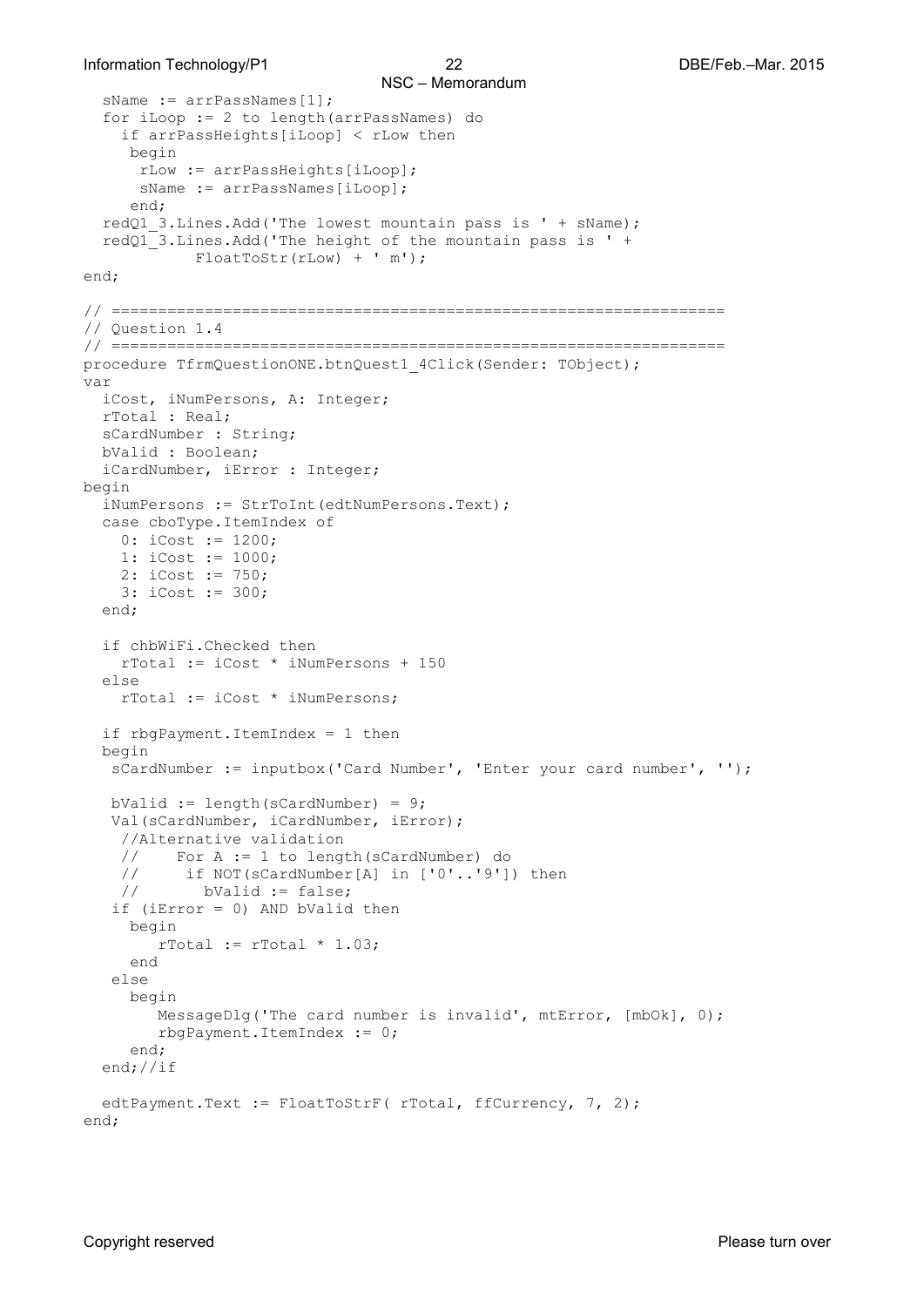#### Information Technology/P1 22 DBE/Feb.–Mar. 2015

```
NSC – Memorandum 
  sName := arrPassNames[1];
   for iLoop := 2 to length(arrPassNames) do
     if arrPassHeights[iLoop] < rLow then
      begin
       rLow := arrPassHeights[iLoop];
      sName := arrPassNames[iLoop];
      end;
   redQ1_3.Lines.Add('The lowest mountain pass is ' + sName);
   redQ1_3.Lines.Add('The height of the mountain pass is ' + 
             FloatToStr(rLow) + ' m');
end;
// ==================================================================
// Question 1.4
// ==================================================================
procedure TfrmQuestionONE.btnQuest1 4Click(Sender: TObject);
var
   iCost, iNumPersons, A: Integer;
   rTotal : Real;
   sCardNumber : String;
   bValid : Boolean;
   iCardNumber, iError : Integer;
begin
   iNumPersons := StrToInt(edtNumPersons.Text);
   case cboType.ItemIndex of
    0: iCost := 1200;
     1: iCost := 1000;
     2: iCost := 750;
     3: iCost := 300;
   end;
   if chbWiFi.Checked then
     rTotal := iCost * iNumPersons + 150
   else
     rTotal := iCost * iNumPersons;
   if rbgPayment.ItemIndex = 1 then
   begin
    sCardNumber := inputbox('Card Number', 'Enter your card number', '');
    bValid := length(sCardNumber) = 9;
    Val(sCardNumber, iCardNumber, iError);
     //Alternative validation
    // For A := 1 to length(sCardNumber) do<br>// if NOT(sCardNumber[A] in ['0'..'9']
    // if NOT(sCardNumber[A] in ['0'..'9']) then<br>// bValid := false;
             bValid := false;
    if (iError = 0) AND bValid then 
     begin
        rTotal := rTotal * 1.03; end
    else
      begin
        MessageDlg('The card number is invalid', mtError, [mbOk], 0);
         rbgPayment.ItemIndex := 0;
      end;
   end;//if
  edtPayment.Text := FloatToStrF( rTotal, ffCurrency, 7, 2);
end;
```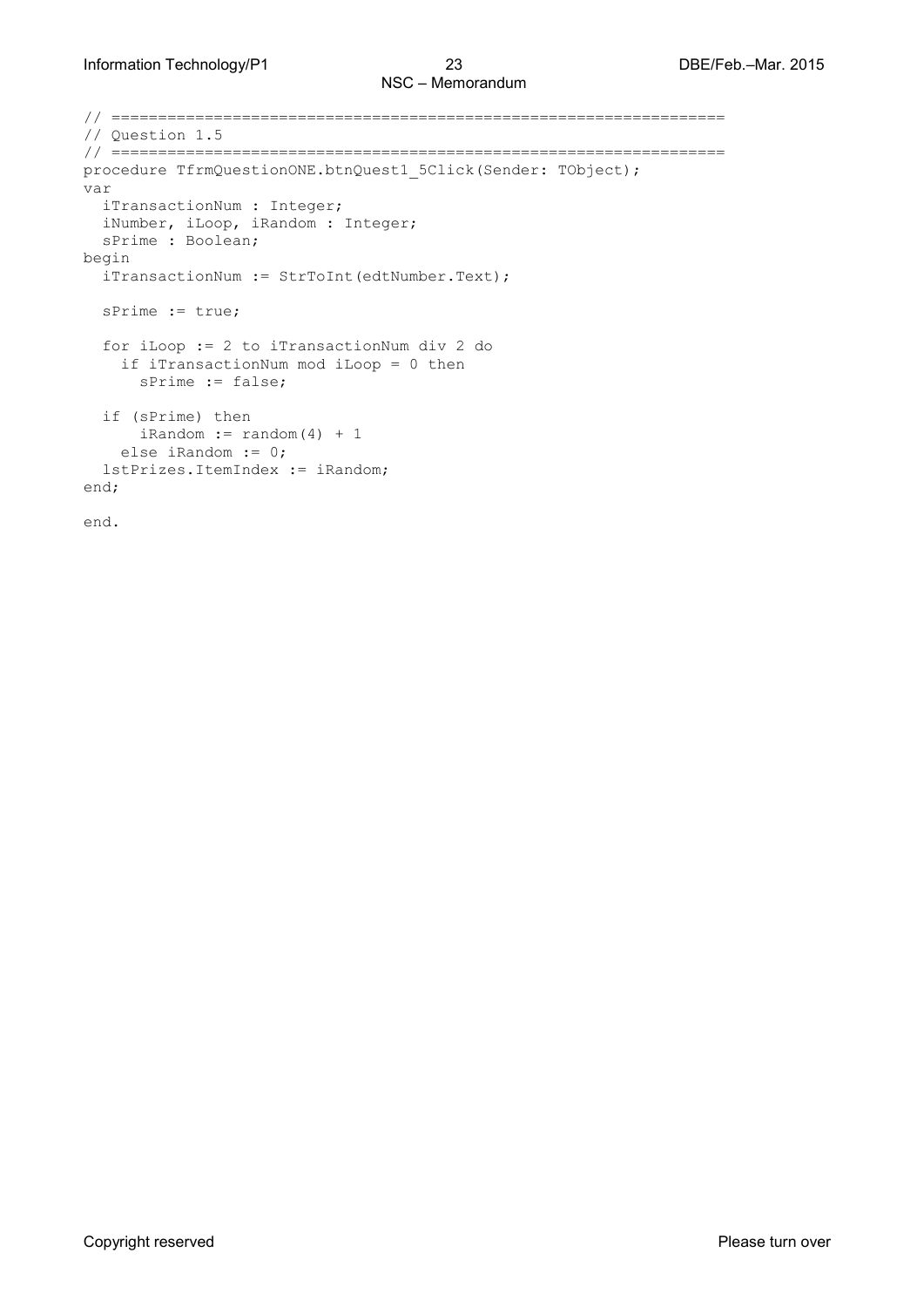```
// ==================================================================
// Question 1.5 
// ==================================================================
procedure TfrmQuestionONE.btnQuest1 5Click(Sender: TObject);
var
   iTransactionNum : Integer;
   iNumber, iLoop, iRandom : Integer;
  sPrime : Boolean;
begin
   iTransactionNum := StrToInt(edtNumber.Text);
   sPrime := true;
   for iLoop := 2 to iTransactionNum div 2 do
     if iTransactionNum mod iLoop = 0 then
       sPrime := false;
   if (sPrime) then
     ikandom := random(4) + 1 else iRandom := 0;
   lstPrizes.ItemIndex := iRandom;
end;
end.
```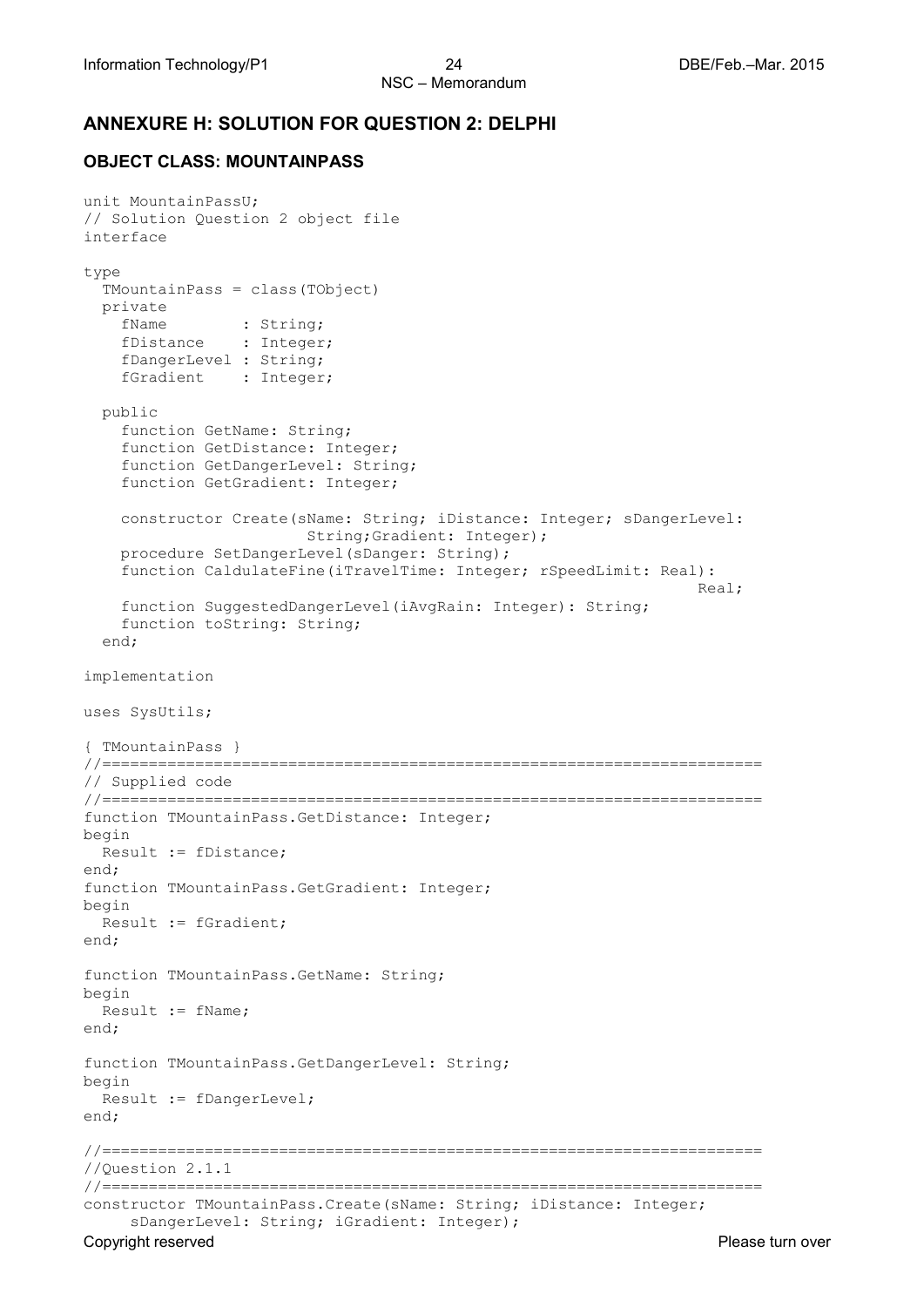### **ANNEXURE H: SOLUTION FOR QUESTION 2: DELPHI**

### **OBJECT CLASS: MOUNTAINPASS**

```
Copyright reserved Please turn over the Copyright reserved Please turn over
unit MountainPassU;
// Solution Question 2 object file
interface
type
   TMountainPass = class(TObject)
   private
fName : String;
fDistance : Integer;
     fDangerLevel : String;
    fGradient : Integer;
   public
     function GetName: String;
     function GetDistance: Integer;
     function GetDangerLevel: String;
     function GetGradient: Integer;
     constructor Create(sName: String; iDistance: Integer; sDangerLevel: 
                        String;Gradient: Integer);
     procedure SetDangerLevel(sDanger: String);
     function CaldulateFine(iTravelTime: Integer; rSpeedLimit: Real): 
                                                                   Real;
     function SuggestedDangerLevel(iAvgRain: Integer): String;
     function toString: String;
   end;
implementation
uses SysUtils;
{ TMountainPass }
//=======================================================================
// Supplied code 
//=======================================================================
function TMountainPass.GetDistance: Integer;
begin
  Result := fDistance;
end;
function TMountainPass.GetGradient: Integer;
begin
  Result := fGradient;
end;
function TMountainPass.GetName: String;
begin
  Result := fName;
end;
function TMountainPass.GetDangerLevel: String;
begin
  Result := fDangerLevel;
end;
//=======================================================================
//Question 2.1.1 
//=======================================================================
constructor TMountainPass.Create(sName: String; iDistance: Integer;
      sDangerLevel: String; iGradient: Integer);
```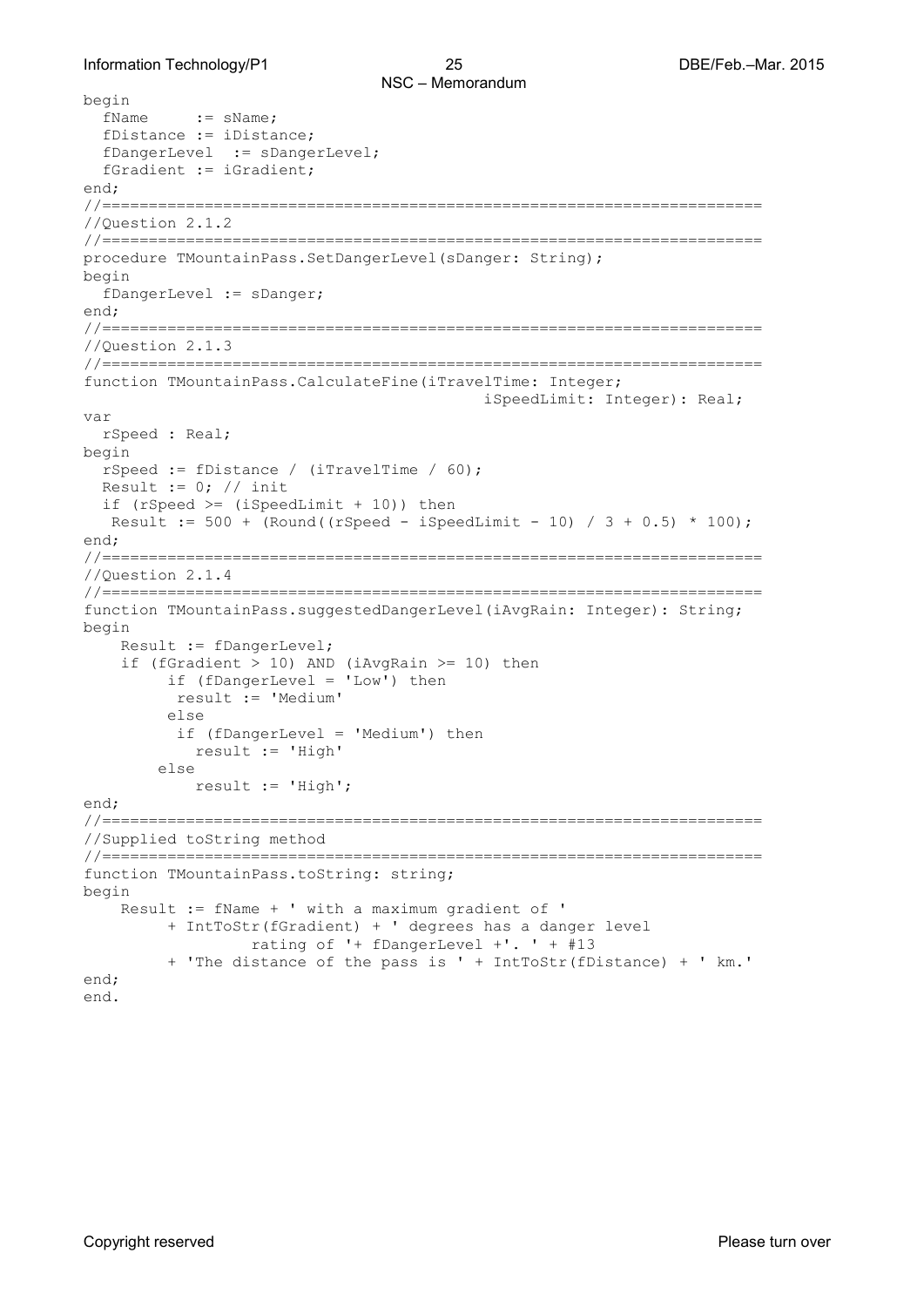```
begin<br>fName
           := sName;
   fDistance := iDistance;
  fDangerLevel := sDangerLevel;
   fGradient := iGradient;
end;
//=======================================================================
//Question 2.1.2 
//=======================================================================
procedure TMountainPass.SetDangerLevel(sDanger: String);
begin
   fDangerLevel := sDanger;
end;
//=======================================================================
//Question 2.1.3 
//=======================================================================
function TMountainPass.CalculateFine(iTravelTime: Integer;
                                             iSpeedLimit: Integer): Real;
var
   rSpeed : Real;
begin
   rSpeed := fDistance / (iTravelTime / 60);
  Result := 0; // init
  if (rSpeed >=(iSpeedLimit + 10)) then
   Result := 500 + (Round((rSpeed - iSpeedLimit - 10) / 3 + 0.5) * 100);end;
//=======================================================================
//Question 2.1.4
//=======================================================================
function TMountainPass.suggestedDangerLevel(iAvgRain: Integer): String;
begin
     Result := fDangerLevel;
    if (fGradient > 10) AND (iAvgRain >= 10) then
          if (fDangerLevel = 'Low') then
           result := 'Medium'
          else 
           if (fDangerLevel = 'Medium') then
             result := 'High'
         else 
             result := 'High';
end;
//=======================================================================
//Supplied toString method
//=======================================================================
function TMountainPass.toString: string;
begin
     Result := fName + ' with a maximum gradient of '
          + IntToStr(fGradient) + ' degrees has a danger level 
                  rating of '+ fDangerLevel +'. ' + #13
          + 'The distance of the pass is ' + IntToStr(fDistance) + ' km.'
end;
end.
```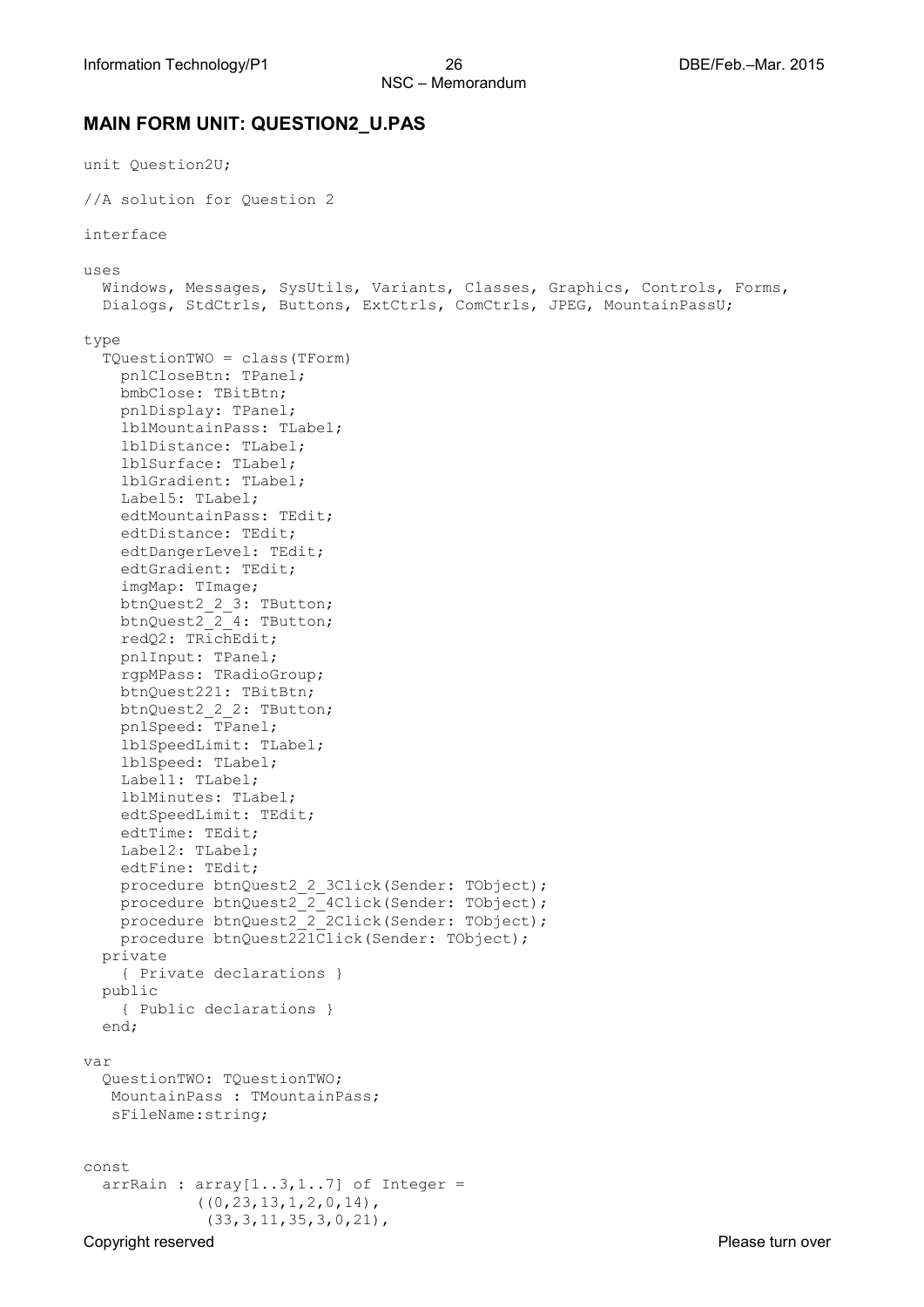### **MAIN FORM UNIT: QUESTION2\_U.PAS**

```
Copyright reserved Please turn over the Copyright reserved Please turn over
unit Question2U;
//A solution for Question 2
interface
uses
   Windows, Messages, SysUtils, Variants, Classes, Graphics, Controls, Forms,
   Dialogs, StdCtrls, Buttons, ExtCtrls, ComCtrls, JPEG, MountainPassU;
type
   TQuestionTWO = class(TForm)
     pnlCloseBtn: TPanel;
     bmbClose: TBitBtn;
     pnlDisplay: TPanel;
     lblMountainPass: TLabel;
     lblDistance: TLabel;
     lblSurface: TLabel;
     lblGradient: TLabel;
     Label5: TLabel;
     edtMountainPass: TEdit;
     edtDistance: TEdit;
     edtDangerLevel: TEdit;
     edtGradient: TEdit;
     imgMap: TImage;
     btnQuest2_2_3: TButton;
     btnQuest2_2_4: TButton;
     redQ2: TRichEdit;
     pnlInput: TPanel;
     rgpMPass: TRadioGroup;
     btnQuest221: TBitBtn;
     btnQuest2_2_2: TButton;
     pnlSpeed: TPanel;
     lblSpeedLimit: TLabel;
     lblSpeed: TLabel;
     Label1: TLabel;
     lblMinutes: TLabel;
     edtSpeedLimit: TEdit;
     edtTime: TEdit;
     Label2: TLabel;
     edtFine: TEdit;
    procedure btnQuest2 2 3Click(Sender: TObject);
    procedure btnQuest2<sup>-2-4Click(Sender: TObject);</sup>
    procedure btnQuest2_2_2Click(Sender: TObject);
     procedure btnQuest221Click(Sender: TObject);
   private
     { Private declarations }
   public
     { Public declarations }
   end;
var
   QuestionTWO: TQuestionTWO;
   MountainPass : TMountainPass;
    sFileName:string;
const
  arrRain : array[1..3,1..7] of Integer =
             ((0, 23, 13, 1, 2, 0, 14)) (33,3,11,35,3,0,21),
```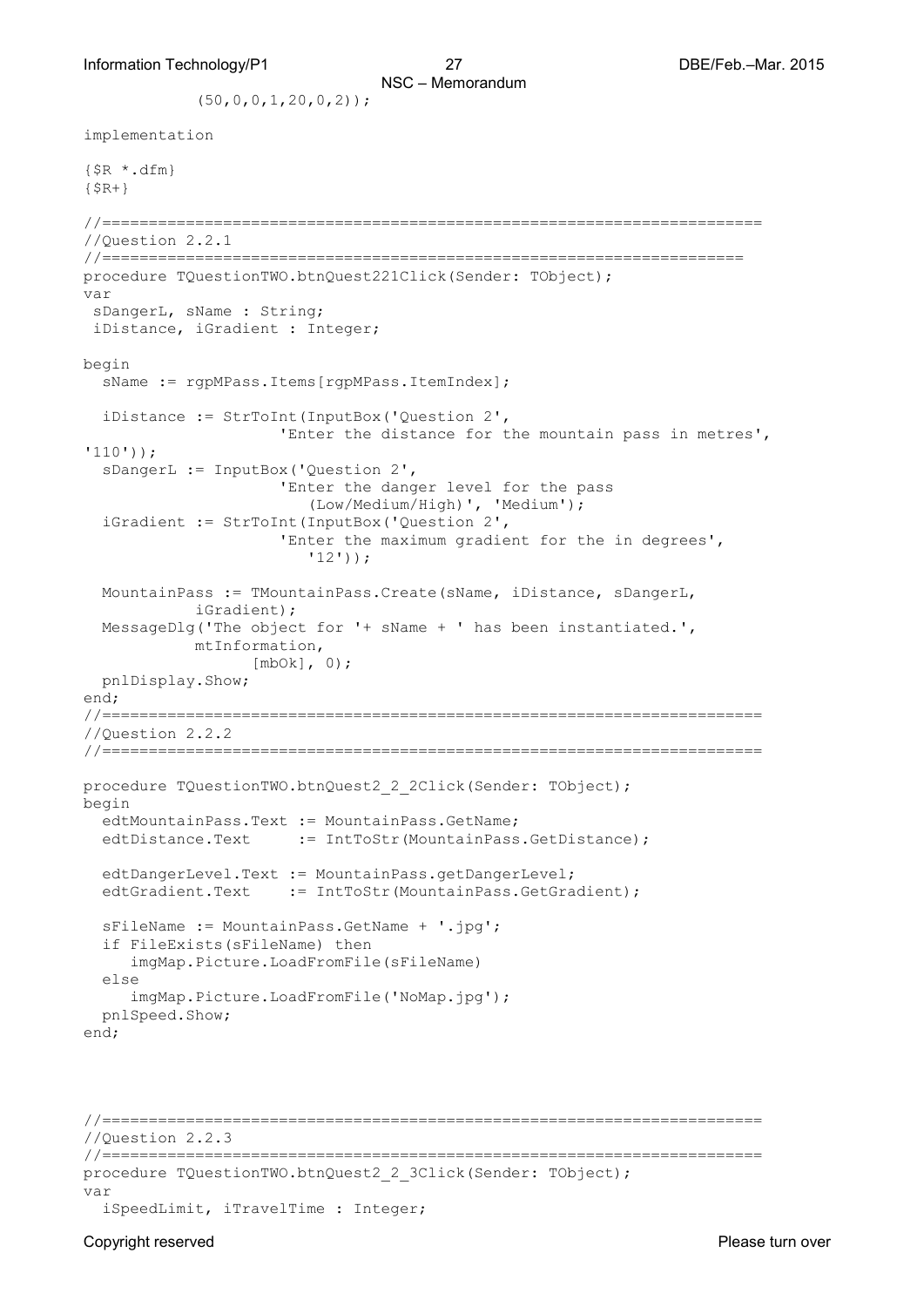$(50, 0, 0, 1, 20, 0, 2)$ ;

```
implementation
{$R *.dfm}
{S R + }//=======================================================================
//Question 2.2.1
//=====================================================================
procedure TQuestionTWO.btnQuest221Click(Sender: TObject);
var
 sDangerL, sName : String;
 iDistance, iGradient : Integer;
begin
   sName := rgpMPass.Items[rgpMPass.ItemIndex];
   iDistance := StrToInt(InputBox('Question 2',
                      'Enter the distance for the mountain pass in metres', 
'110'));
   sDangerL := InputBox('Question 2',
                       'Enter the danger level for the pass 
                         (Low/Medium/High)', 'Medium');
   iGradient := StrToInt(InputBox('Question 2',
                       'Enter the maximum gradient for the in degrees', 
                         '12'));
   MountainPass := TMountainPass.Create(sName, iDistance, sDangerL, 
            iGradient);
   MessageDlg('The object for '+ sName + ' has been instantiated.', 
            mtInformation,
                    [mbOk], 0);
   pnlDisplay.Show;
end;
//=======================================================================
//Question 2.2.2
//=======================================================================
procedure TQuestionTWO.btnQuest2 2 2Click(Sender: TObject);
begin
   edtMountainPass.Text := MountainPass.GetName;
  edtDistance.Text := IntToStr(MountainPass.GetDistance);
   edtDangerLevel.Text := MountainPass.getDangerLevel;
  edtGradient.Text := IntToStr(MountainPass.GetGradient);
   sFileName := MountainPass.GetName + '.jpg';
   if FileExists(sFileName) then
      imgMap.Picture.LoadFromFile(sFileName)
   else
      imgMap.Picture.LoadFromFile('NoMap.jpg');
   pnlSpeed.Show;
end;
//=======================================================================
//Question 2.2.3
//=======================================================================
procedure TQuestionTWO.btnQuest2 2 3Click(Sender: TObject);
var
   iSpeedLimit, iTravelTime : Integer;
```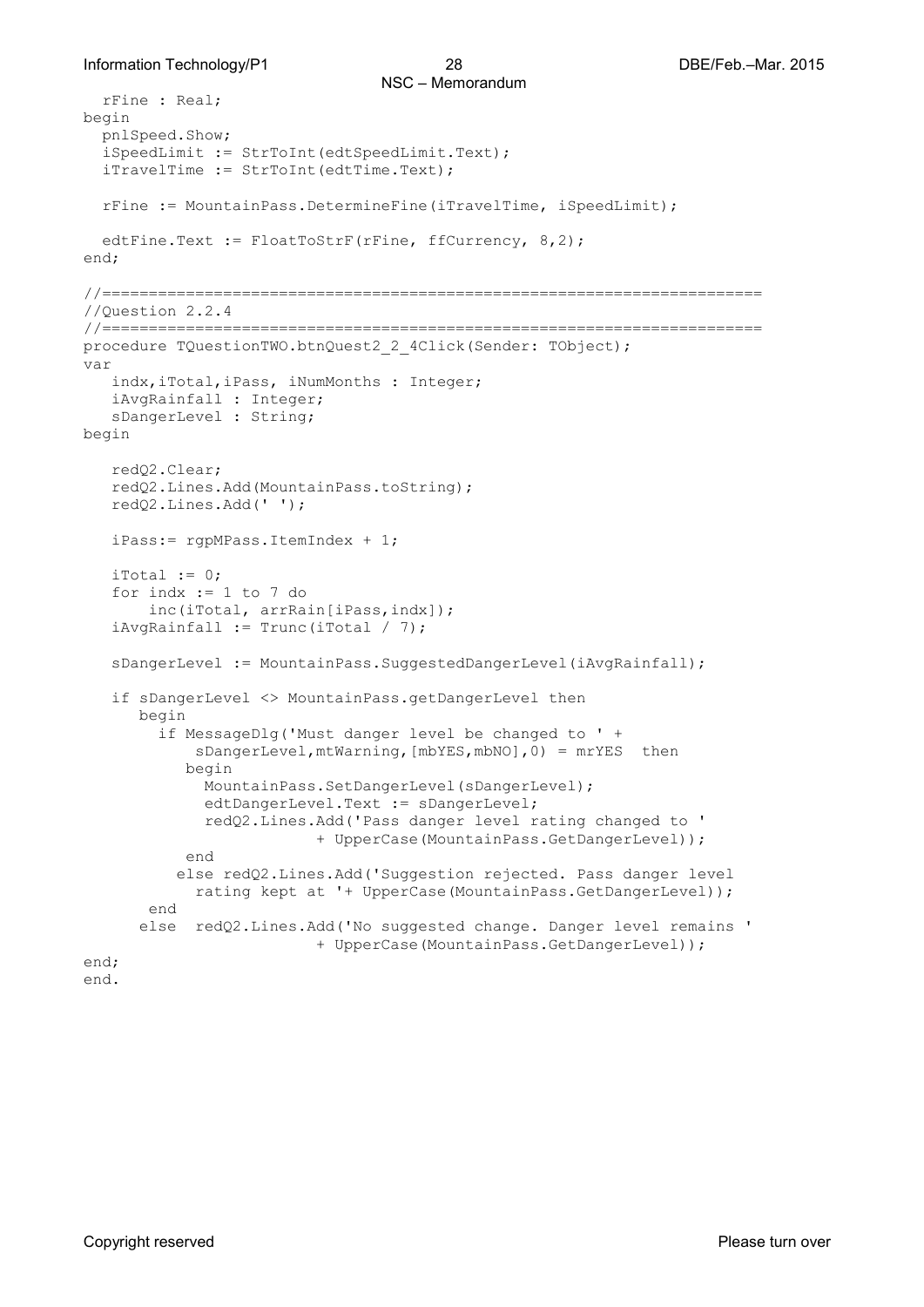#### Information Technology/P1 28 DBE/Feb.–Mar. 2015

```
 rFine : Real;
begin
   pnlSpeed.Show;
   iSpeedLimit := StrToInt(edtSpeedLimit.Text);
   iTravelTime := StrToInt(edtTime.Text);
   rFine := MountainPass.DetermineFine(iTravelTime, iSpeedLimit);
  edtFine.Text := FloatToStrF(rFine, ffCurrency, 8,2);
end;
//=======================================================================
//Question 2.2.4
//=======================================================================
procedure TQuestionTWO.btnQuest2_2_4Click(Sender: TObject);
var
    indx,iTotal,iPass, iNumMonths : Integer;
    iAvgRainfall : Integer;
    sDangerLevel : String;
begin
    redQ2.Clear;
    redQ2.Lines.Add(MountainPass.toString);
    redQ2.Lines.Add(' ');
    iPass:= rgpMPass.ItemIndex + 1;
   iTotal := 0;for indx := 1 to 7 do
        inc(iTotal, arrRain[iPass,indx]);
   iAvgRainfall := Trunc(iTotal / 7); sDangerLevel := MountainPass.SuggestedDangerLevel(iAvgRainfall);
    if sDangerLevel <> MountainPass.getDangerLevel then
       begin
         if MessageDlg('Must danger level be changed to ' + 
            sDangerLevel, mtWarning, [mbYES, mbNO], 0) = mrYES then
            begin
              MountainPass.SetDangerLevel(sDangerLevel);
              edtDangerLevel.Text := sDangerLevel;
              redQ2.Lines.Add('Pass danger level rating changed to '
                          + UpperCase(MountainPass.GetDangerLevel));
            end
           else redQ2.Lines.Add('Suggestion rejected. Pass danger level 
            rating kept at '+ UpperCase(MountainPass.GetDangerLevel));
        end
       else redQ2.Lines.Add('No suggested change. Danger level remains '
                           + UpperCase(MountainPass.GetDangerLevel));
end;
end.
```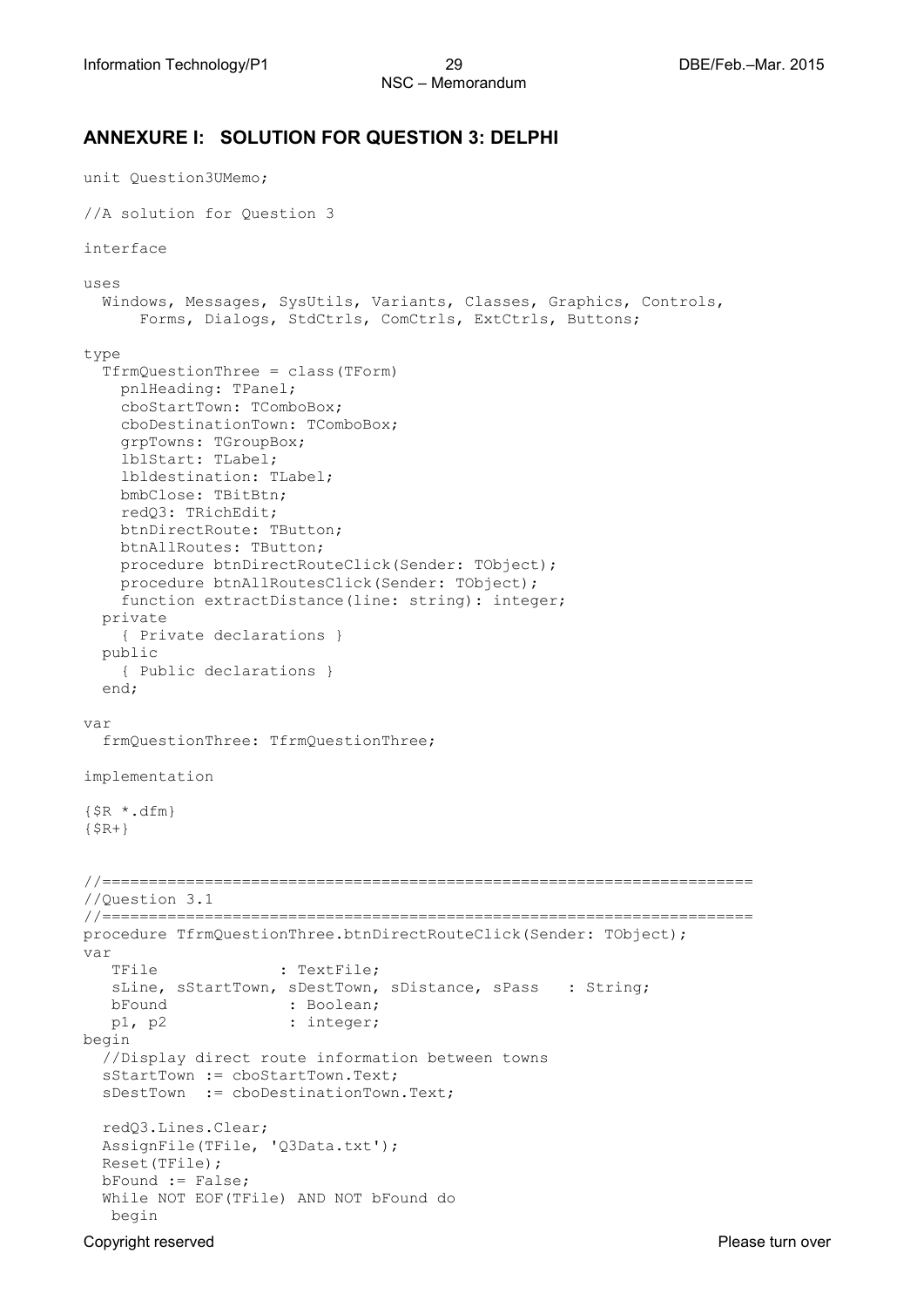### **ANNEXURE I: SOLUTION FOR QUESTION 3: DELPHI**

```
unit Question3UMemo;
//A solution for Question 3
interface
uses
   Windows, Messages, SysUtils, Variants, Classes, Graphics, Controls, 
      Forms, Dialogs, StdCtrls, ComCtrls, ExtCtrls, Buttons;
type
   TfrmQuestionThree = class(TForm)
     pnlHeading: TPanel;
     cboStartTown: TComboBox;
     cboDestinationTown: TComboBox;
     grpTowns: TGroupBox;
     lblStart: TLabel;
     lbldestination: TLabel;
    bmbClose: TBitBtn;
     redQ3: TRichEdit;
    btnDirectRoute: TButton;
    btnAllRoutes: TButton;
     procedure btnDirectRouteClick(Sender: TObject);
     procedure btnAllRoutesClick(Sender: TObject);
     function extractDistance(line: string): integer;
   private
     { Private declarations }
   public
     { Public declarations }
   end;
var
   frmQuestionThree: TfrmQuestionThree;
implementation
{$R *.dfm}
{$R+}
//======================================================================
//Question 3.1
//======================================================================
procedure TfrmQuestionThree.btnDirectRouteClick(Sender: TObject);
var<br>Trile
                     : TextFile;
  sLine, sStartTown, sDestTown, sDistance, sPass : String;
   bFound : Boolean;
  p1, p2 : integer;
begin
   //Display direct route information between towns
   sStartTown := cboStartTown.Text;
   sDestTown := cboDestinationTown.Text;
  redQ3.Lines.Clear;
  AssignFile(TFile, 'Q3Data.txt');
  Reset(TFile);
  bFound := False;
   While NOT EOF(TFile) AND NOT bFound do
   begin
```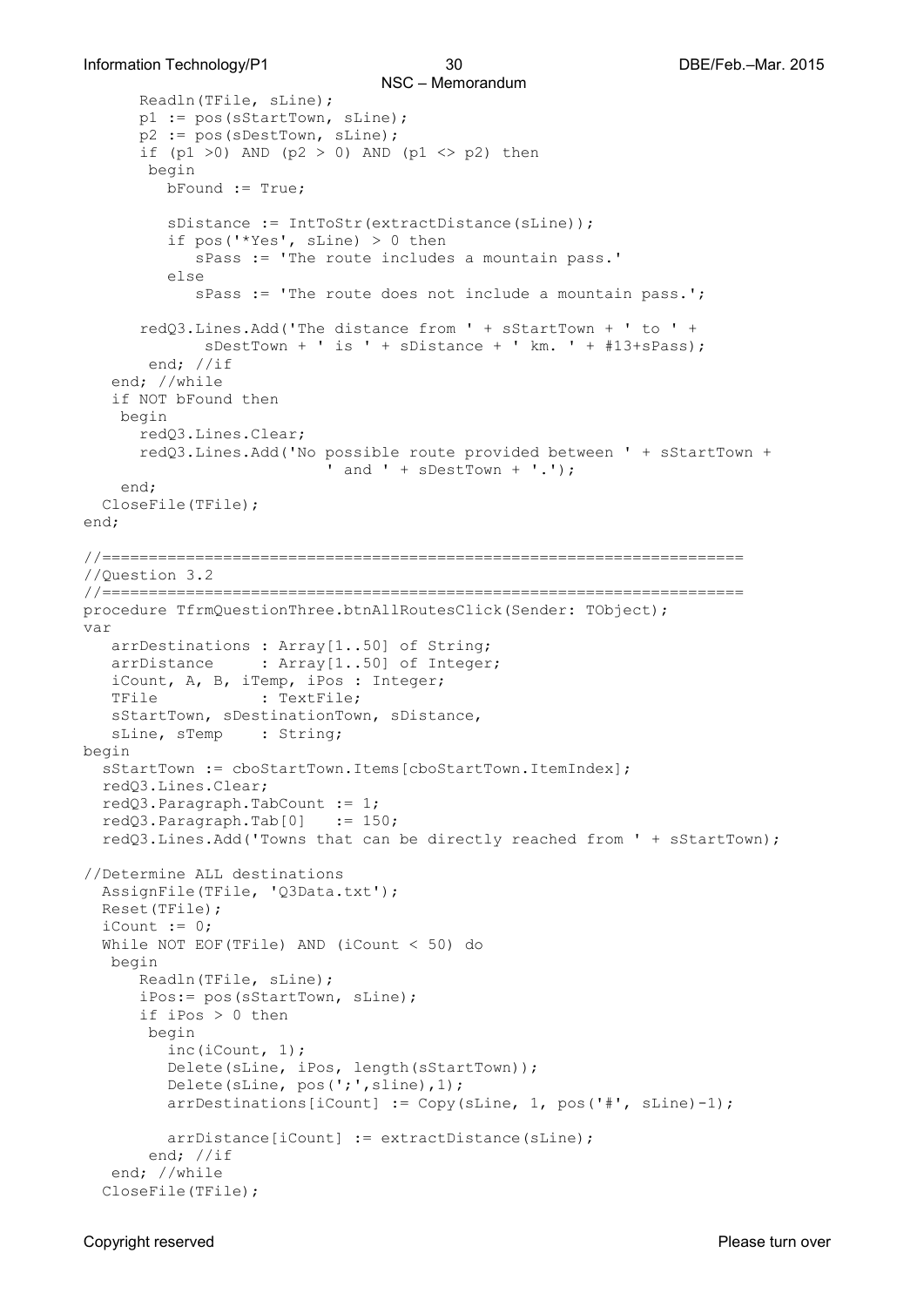```
NSC – Memorandum 
       Readln(TFile, sLine);
       p1 := pos(sStartTown, sLine);
       p2 := pos(sDestTown, sLine);
      if (p1 >0) AND (p2 > 0) AND (p1 <> p2) then
        begin
          bFound := True;
         sDistance := IntToStr(extractDistance(sLine));
          if pos('*Yes', sLine) > 0 then
             sPass := 'The route includes a mountain pass.'
          else
             sPass := 'The route does not include a mountain pass.';
      redQ3.Lines.Add('The distance from ' + sStartTown + ' to ' +
              sDestTown + ' is ' + sDistance + ' km. ' + #13+sPass);
        end; //if
    end; //while
    if NOT bFound then
     begin
       redQ3.Lines.Clear;
       redQ3.Lines.Add('No possible route provided between ' + sStartTown +
                          ' and ' + sDestTown + '.');
     end;
   CloseFile(TFile);
end;
//=====================================================================
//Question 3.2
//=====================================================================
procedure TfrmQuestionThree.btnAllRoutesClick(Sender: TObject);
var
    arrDestinations : Array[1..50] of String;
   arrDistance : Array[1..50] of Integer;
    iCount, A, B, iTemp, iPos : Integer;
                  : TextFile;
    sStartTown, sDestinationTown, sDistance,
  sLine, sTemp : String;
begin
  sStartTown := cboStartTown.Items[cboStartTown.ItemIndex];
  redQ3.Lines.Clear;
   redQ3.Paragraph.TabCount := 1;
  redQ3.Paragraph.Tab[0] := 150;
   redQ3.Lines.Add('Towns that can be directly reached from ' + sStartTown);
//Determine ALL destinations
   AssignFile(TFile, 'Q3Data.txt');
   Reset(TFile);
  iCount := 0; While NOT EOF(TFile) AND (iCount < 50) do
   begin
       Readln(TFile, sLine);
       iPos:= pos(sStartTown, sLine);
       if iPos > 0 then
        begin
          inc(iCount, 1);
          Delete(sLine, iPos, length(sStartTown));
         Delete(sLine, pos(';',sline),1);
          arrDestinations[iCount] := Copy(sLine, 1, pos('#', sLine)-1);
         arrDistance[iCount] := extractDistance(sLine);
        end; //if
    end; //while
   CloseFile(TFile);
```